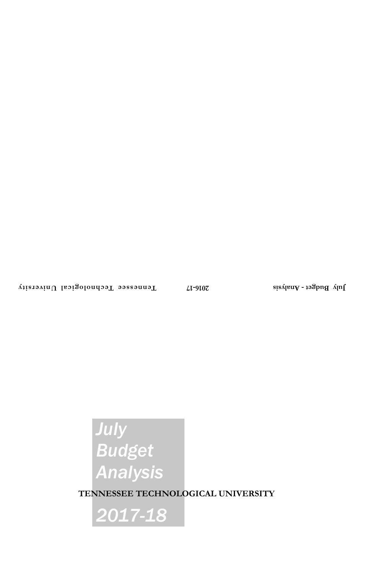# *July Budget Analysis*

**TENNESSEE TECHNOLOGICAL UNIVERSITY**

*2017-18*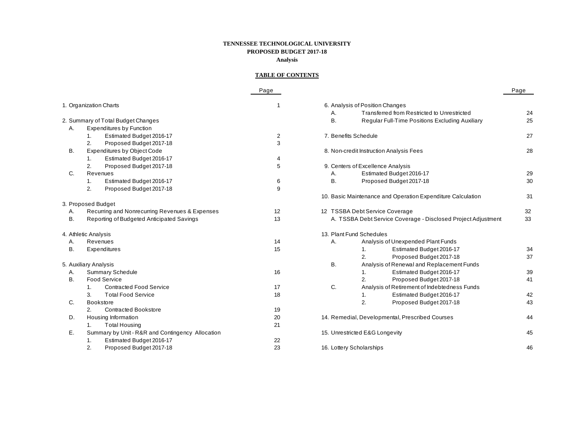# **TENNESSEE TECHNOLOGICAL UNIVERSITY PROPOSED BUDGET 2017-18 Analysis**

# **TABLE OF CONTENTS**

|           |                                                  | Page           |           |                                                               | Page |
|-----------|--------------------------------------------------|----------------|-----------|---------------------------------------------------------------|------|
|           | 1. Organization Charts                           |                |           | 6. Analysis of Position Changes                               |      |
|           |                                                  |                | А.        | Transferred from Restricted to Unrestricted                   | 24   |
|           | 2. Summary of Total Budget Changes               |                | В.        | Regular Full-Time Positions Excluding Auxiliary               | 25   |
| Α.        | <b>Expenditures by Function</b>                  |                |           |                                                               |      |
|           | Estimated Budget 2016-17<br>1.                   | $\overline{c}$ |           | 7. Benefits Schedule                                          | 27   |
|           | Proposed Budget 2017-18<br>2.                    | 3              |           |                                                               |      |
| В.        | <b>Expenditures by Object Code</b>               |                |           | 8. Non-credit Instruction Analysis Fees                       | 28   |
|           | Estimated Budget 2016-17<br>1.                   | 4              |           |                                                               |      |
|           | 2.<br>Proposed Budget 2017-18                    | 5              |           | 9. Centers of Excellence Analysis                             |      |
| C.        | Revenues                                         |                | Α.        | Estimated Budget 2016-17                                      | 29   |
|           | Estimated Budget 2016-17<br>1.                   | 6              | Β.        | Proposed Budget 2017-18                                       | 30   |
|           | 2.<br>Proposed Budget 2017-18                    | 9              |           |                                                               |      |
|           |                                                  |                |           | 10. Basic Maintenance and Operation Expenditure Calculation   | 31   |
|           | 3. Proposed Budget                               |                |           |                                                               |      |
| Α.        | Recurring and Nonrecurring Revenues & Expenses   | 12             |           | 12 TSSBA Debt Service Coverage                                | 32   |
| <b>B.</b> | Reporting of Budgeted Anticipated Savings        | 13             |           | A. TSSBA Debt Service Coverage - Disclosed Project Adjustment | 33   |
|           | 4. Athletic Analysis                             |                |           | 13. Plant Fund Schedules                                      |      |
| Α.        | Revenues                                         | 14             | Α.        | Analysis of Unexpended Plant Funds                            |      |
| В.        | Expenditures                                     | 15             |           | Estimated Budget 2016-17<br>1.                                | 34   |
|           |                                                  |                |           | 2.<br>Proposed Budget 2017-18                                 | 37   |
|           | 5. Auxiliary Analysis                            |                | <b>B.</b> | Analysis of Renewal and Replacement Funds                     |      |
| Α.        | <b>Summary Schedule</b>                          | 16             |           | Estimated Budget 2016-17<br>1.                                | 39   |
| В.        | <b>Food Service</b>                              |                |           | Proposed Budget 2017-18<br>2.                                 | 41   |
|           | <b>Contracted Food Service</b><br>1 <sup>1</sup> | 17             | C.        | Analysis of Retirement of Indebtedness Funds                  |      |
|           | 3.<br><b>Total Food Service</b>                  | 18             |           | Estimated Budget 2016-17<br>1.                                | 42   |
| C.        | Bookstore                                        |                |           | 2.<br>Proposed Budget 2017-18                                 | 43   |
|           | <b>Contracted Bookstore</b><br>2.                | 19             |           |                                                               |      |
| D.        | Housing Information                              | 20             |           | 14. Remedial, Developmental, Prescribed Courses               | 44   |
|           | <b>Total Housing</b>                             | 21             |           |                                                               |      |
| Е.        | Summary by Unit - R&R and Contingency Allocation |                |           | 15. Unrestricted E&G Longevity                                | 45   |
|           | Estimated Budget 2016-17<br>1.                   | 22             |           |                                                               |      |
|           | Proposed Budget 2017-18<br>2.                    | 23             |           | 16. Lottery Scholarships                                      | 46   |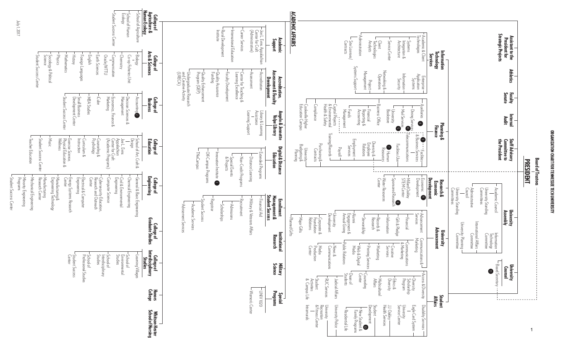# ORGANIZATION CHART FOR TENNESSEE TECH UNIVERSITY ORGANIZATION CHART FOR TENNESSEE TECH UNIVERSITY



July 1, 2017

Student Success Center

Student Success Cente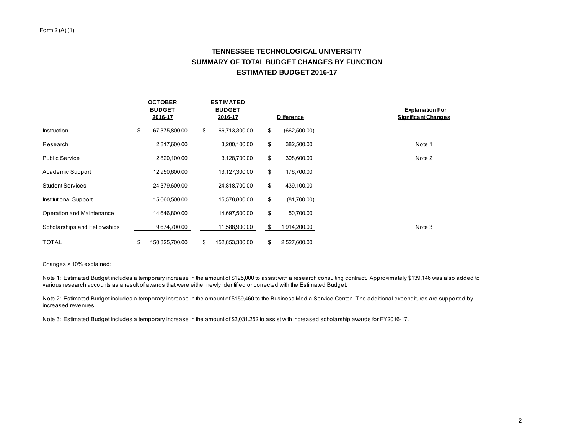#### Form 2 (A) (1)

# **TENNESSEE TECHNOLOGICAL UNIVERSITY SUMMARY OF TOTAL BUDGET CHANGES BY FUNCTION ESTIMATED BUDGET 2016-17**

|                              | <b>OCTOBER</b><br><b>BUDGET</b><br>2016-17 |                | <b>ESTIMATED</b><br><b>BUDGET</b><br>2016-17 |    | <b>Difference</b> | <b>Explanation For</b><br><b>Significant Changes</b> |
|------------------------------|--------------------------------------------|----------------|----------------------------------------------|----|-------------------|------------------------------------------------------|
| Instruction                  | \$                                         | 67,375,800.00  | \$<br>66,713,300.00                          | \$ | (662, 500.00)     |                                                      |
| Research                     |                                            | 2,817,600.00   | 3,200,100.00                                 | \$ | 382,500.00        | Note 1                                               |
| <b>Public Service</b>        |                                            | 2,820,100.00   | 3,128,700.00                                 | \$ | 308,600.00        | Note 2                                               |
| Academic Support             |                                            | 12,950,600.00  | 13,127,300.00                                | \$ | 176,700.00        |                                                      |
| <b>Student Services</b>      |                                            | 24,379,600.00  | 24,818,700.00                                | \$ | 439,100.00        |                                                      |
| Institutional Support        |                                            | 15,660,500.00  | 15,578,800.00                                | \$ | (81,700.00)       |                                                      |
| Operation and Maintenance    |                                            | 14,646,800.00  | 14,697,500.00                                | \$ | 50,700.00         |                                                      |
| Scholarships and Fellowships |                                            | 9,674,700.00   | 11,588,900.00                                | S  | 1,914,200.00      | Note 3                                               |
| TOTAL                        |                                            | 150,325,700.00 | \$<br>152,853,300.00                         | \$ | 2,527,600.00      |                                                      |

Changes > 10% explained:

Note 1: Estimated Budget includes a temporary increase in the amount of \$125,000 to assist with a research consulting contract. Approximately \$139,146 was also added to various research accounts as a result of awards that were either newly identified or corrected with the Estimated Budget.

Note 2: Estimated Budget includes a temporary increase in the amount of \$159,460 to the Business Media Service Center. The additional expenditures are supported by increased revenues.

Note 3: Estimated Budget includes a temporary increase in the amount of \$2,031,252 to assist with increased scholarship awards for FY2016-17.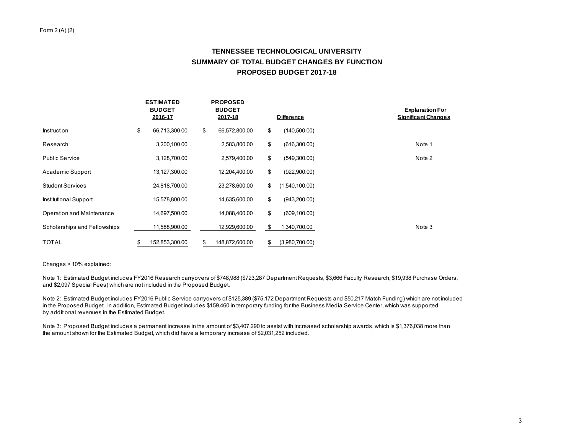# **TENNESSEE TECHNOLOGICAL UNIVERSITY SUMMARY OF TOTAL BUDGET CHANGES BY FUNCTION PROPOSED BUDGET 2017-18**

|                              | <b>ESTIMATED</b><br><b>BUDGET</b><br>2016-17 |                | <b>PROPOSED</b><br><b>BUDGET</b><br>2017-18 |    | <b>Difference</b> | <b>Explanation For</b><br><b>Significant Changes</b> |
|------------------------------|----------------------------------------------|----------------|---------------------------------------------|----|-------------------|------------------------------------------------------|
| Instruction                  | \$                                           | 66,713,300.00  | \$<br>66,572,800.00                         | \$ | (140,500.00)      |                                                      |
| Research                     |                                              | 3,200,100.00   | 2,583,800.00                                | \$ | (616,300.00)      | Note 1                                               |
| <b>Public Service</b>        |                                              | 3,128,700.00   | 2,579,400.00                                | \$ | (549,300.00)      | Note 2                                               |
| Academic Support             |                                              | 13,127,300.00  | 12,204,400.00                               | \$ | (922,900.00)      |                                                      |
| <b>Student Services</b>      |                                              | 24,818,700.00  | 23,278,600.00                               | \$ | (1,540,100.00)    |                                                      |
| Institutional Support        |                                              | 15,578,800.00  | 14,635,600.00                               | \$ | (943, 200.00)     |                                                      |
| Operation and Maintenance    |                                              | 14,697,500.00  | 14,088,400.00                               | \$ | (609, 100.00)     |                                                      |
| Scholarships and Fellowships |                                              | 11,588,900.00  | 12,929,600.00                               | \$ | 1,340,700.00      | Note 3                                               |
| <b>TOTAL</b>                 |                                              | 152,853,300.00 | \$<br>148,872,600.00                        | \$ | (3,980,700.00)    |                                                      |

Changes > 10% explained:

Note 1: Estimated Budget includes FY2016 Research carryovers of \$748,988 (\$723,287 Department Requests, \$3,666 Faculty Research, \$19,938 Purchase Orders, and \$2,097 Special Fees) which are not included in the Proposed Budget.

Note 2: Estimated Budget includes FY2016 Public Service carryovers of \$125,389 (\$75,172 Department Requests and \$50,217 Match Funding) which are not included in the Proposed Budget. In addition, Estimated Budget includes \$159,460 in temporary funding for the Business Media Service Center, which was supported by additional revenues in the Estimated Budget.

Note 3: Proposed Budget includes a permanent increase in the amount of \$3,407,290 to assist with increased scholarship awards, which is \$1,376,038 more than the amount shown for the Estimated Budget, which did have a temporary increase of \$2,031,252 included.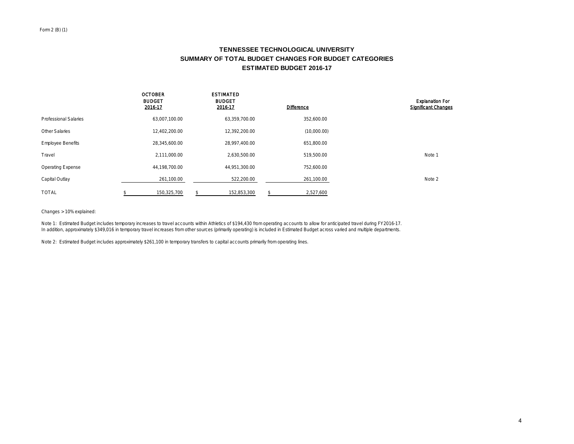# **TENNESSEE TECHNOLOGICAL UNIVERSITY SUMMARY OF TOTAL BUDGET CHANGES FOR BUDGET CATEGORIES ESTIMATED BUDGET 2016-17**

|                              | <b>OCTOBER</b><br><b>BUDGET</b><br>2016-17 | <b>ESTIMATED</b><br><b>BUDGET</b><br>2016-17 | <b>Difference</b> | <b>Explanation For</b><br><b>Significant Changes</b> |
|------------------------------|--------------------------------------------|----------------------------------------------|-------------------|------------------------------------------------------|
| <b>Professional Salaries</b> | 63,007,100.00                              | 63,359,700.00                                | 352,600.00        |                                                      |
| Other Salaries               | 12,402,200.00                              | 12,392,200.00                                | (10,000.00)       |                                                      |
| <b>Employee Benefits</b>     | 28,345,600.00                              | 28,997,400.00                                | 651,800.00        |                                                      |
| Travel                       | 2,111,000.00                               | 2,630,500.00                                 | 519,500.00        | Note 1                                               |
| <b>Operating Expense</b>     | 44,198,700.00                              | 44,951,300.00                                | 752,600.00        |                                                      |
| Capital Outlay               | 261,100.00                                 | 522,200.00                                   | 261,100.00        | Note 2                                               |
| <b>TOTAL</b>                 | 150.325.700                                | 152.853.300                                  | 2,527,600         |                                                      |

Changes > 10% explained:

Note 1: Estimated Budget includes temporary increases to travel accounts within Athletics of \$194,430 from operating accounts to allow for anticipated travel during FY2016-17. In addition, approximately \$349,016 in temporary travel increases from other sources (primarily operating) is included in Estimated Budget across varied and multiple departments.

Note 2: Estimated Budget includes approximately \$261,100 in temporary transfers to capital accounts primarily from operating lines.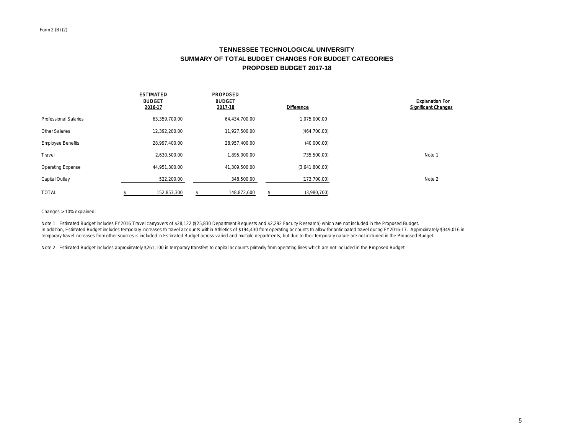# **TENNESSEE TECHNOLOGICAL UNIVERSITY SUMMARY OF TOTAL BUDGET CHANGES FOR BUDGET CATEGORIES PROPOSED BUDGET 2017-18**

|                          | <b>ESTIMATED</b><br><b>BUDGET</b><br>2016-17 | <b>PROPOSED</b><br><b>BUDGET</b><br>2017-18 | <b>Difference</b> | <b>Explanation For</b><br><b>Significant Changes</b> |
|--------------------------|----------------------------------------------|---------------------------------------------|-------------------|------------------------------------------------------|
| Professional Salaries    | 63,359,700.00                                | 64,434,700.00                               | 1,075,000.00      |                                                      |
| <b>Other Salaries</b>    | 12,392,200.00                                | 11,927,500.00                               | (464, 700.00)     |                                                      |
| <b>Employee Benefits</b> | 28.997.400.00                                | 28.957.400.00                               | (40,000.00)       |                                                      |
| Travel                   | 2,630,500.00                                 | 1,895,000.00                                | (735,500.00)      | Note 1                                               |
| <b>Operating Expense</b> | 44,951,300.00                                | 41,309,500.00                               | (3,641,800.00)    |                                                      |
| Capital Outlay           | 522,200.00                                   | 348,500.00                                  | (173, 700.00)     | Note 2                                               |
| <b>TOTAL</b>             | 152,853,300                                  | 148.872.600                                 | (3,980,700)       |                                                      |

Changes > 10% explained:

Note 1: Estimated Budget includes FY2016 Travel carryovers of \$28,122 (\$25,830 Department Requests and \$2,292 Faculty Research) which are not included in the Proposed Budget. In addition, Estimated Budget includes temporary increases to travel accounts within Athletics of \$194,430 from operating accounts to allow for anticipated travel during FY2016-17. Approximately \$349,016 in temporary travel increases from other sources is included in Estimated Budget across varied and multiple departments, but due to their temporary nature are not included in the Proposed Budget.

Note 2: Estimated Budget includes approximately \$261,100 in temporary transfers to capital accounts primarily from operating lines which are not included in the Proposed Budget.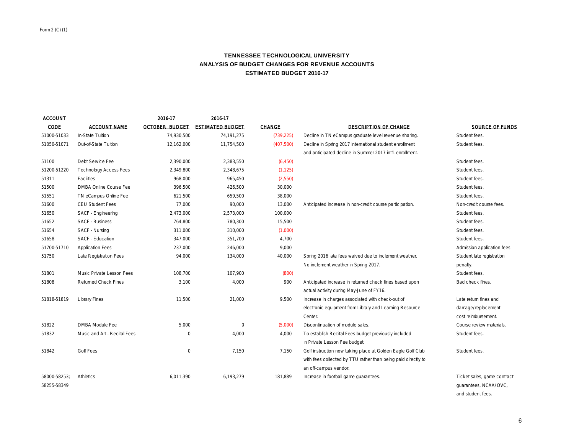# **TENNESSEE TECHNOLOGICAL UNIVERSITY ANALYSIS OF BUDGET CHANGES FOR REVENUE ACCOUNTS ESTIMATED BUDGET 2016-17**

| <b>ACCOUNT</b> |                               | 2016-17               | 2016-17                 |               |                                                               |                             |
|----------------|-------------------------------|-----------------------|-------------------------|---------------|---------------------------------------------------------------|-----------------------------|
| CODE           | <b>ACCOUNT NAME</b>           | <b>OCTOBER BUDGET</b> | <b>ESTIMATED BUDGET</b> | <b>CHANGE</b> | <b>DESCRIPTION OF CHANGE</b>                                  | SOURCE OF FUNDS             |
| 51000-51033    | In-State Tuition              | 74,930,500            | 74,191,275              | (739, 225)    | Decline in TN eCampus graduate level revenue sharing.         | Student fees.               |
| 51050-51071    | Out-of-State Tuition          | 12.162.000            | 11,754,500              | (407, 500)    | Decline in Spring 2017 international student enrollment       | Student fees.               |
|                |                               |                       |                         |               | and anticipated decline in Summer 2017 int'l. enrollment.     |                             |
| 51100          | Debt Service Fee              | 2,390,000             | 2,383,550               | (6, 450)      |                                                               | Student fees.               |
| 51200-51220    | <b>Technology Access Fees</b> | 2,349,800             | 2,348,675               | (1, 125)      |                                                               | Student fees.               |
| 51311          | Facilities                    | 968,000               | 965,450                 | (2,550)       |                                                               | Student fees.               |
| 51500          | DMBA Online Course Fee        | 396,500               | 426,500                 | 30,000        |                                                               | Student fees.               |
| 51551          | TN eCampus Online Fee         | 621,500               | 659.500                 | 38,000        |                                                               | Student fees.               |
| 51600          | CEU Student Fees              | 77,000                | 90,000                  | 13,000        | Anticipated increase in non-credit course participation       | Non-credit course fees.     |
| 51650          | SACF - Engineering            | 2,473,000             | 2,573,000               | 100,000       |                                                               | Student fees.               |
| 51652          | <b>SACF - Business</b>        | 764,800               | 780,300                 | 15,500        |                                                               | Student fees.               |
| 51654          | SACF - Nursing                | 311,000               | 310,000                 | (1,000)       |                                                               | Student fees.               |
| 51658          | SACF - Education              | 347.000               | 351.700                 | 4,700         |                                                               | Student fees.               |
| 51700-51710    | <b>Application Fees</b>       | 237,000               | 246,000                 | 9,000         |                                                               | Admission application fees. |
| 51750          | Late Registration Fees        | 94,000                | 134,000                 | 40,000        | Spring 2016 late fees waived due to inclement weather.        | Student late registration   |
|                |                               |                       |                         |               | No inclement weather in Spring 2017.                          | penalty.                    |
| 51801          | Music Private Lesson Fees     | 108.700               | 107.900                 | (800)         |                                                               | Student fees.               |
| 51808          | Returned Check Fines          | 3.100                 | 4,000                   | 900           | Anticipated increase in returned check fines based upon       | Bad check fines.            |
|                |                               |                       |                         |               | actual activity during May-June of FY16.                      |                             |
| 51818-51819    | <b>Library Fines</b>          | 11,500                | 21,000                  | 9,500         | Increase in charges associated with check-out of              | Late return fines and       |
|                |                               |                       |                         |               | electronic equipment from Library and Learning Resource       | damage/replacement          |
|                |                               |                       |                         |               | Center.                                                       | cost reimbursement.         |
| 51822          | DMBA Module Fee               | 5,000                 | $\circ$                 | (5,000)       | Discontinuation of module sales.                              | Course review materials.    |
| 51832          | Music and Art - Recital Fees  | $\circ$               | 4,000                   | 4,000         | To establish Recital Fees budget previously included          | Student fees.               |
|                |                               |                       |                         |               | in Private Lesson Fee budget.                                 |                             |
| 51842          | Golf Fees                     | $\circ$               | 7,150                   | 7,150         | Golf instruction now taking place at Golden Eagle Golf Club   | Student fees.               |
|                |                               |                       |                         |               | with fees collected by TTU rather than being paid directly to |                             |
|                |                               |                       |                         |               | an off-campus vendor.                                         |                             |
| 58000-58253:   | Athletics                     | 6,011,390             | 6,193,279               | 181,889       | Increase in football game guarantees.                         | Ticket sales, game contract |
| 58255-58349    |                               |                       |                         |               |                                                               | quarantees, NCAA/OVC,       |
|                |                               |                       |                         |               |                                                               | and student fees.           |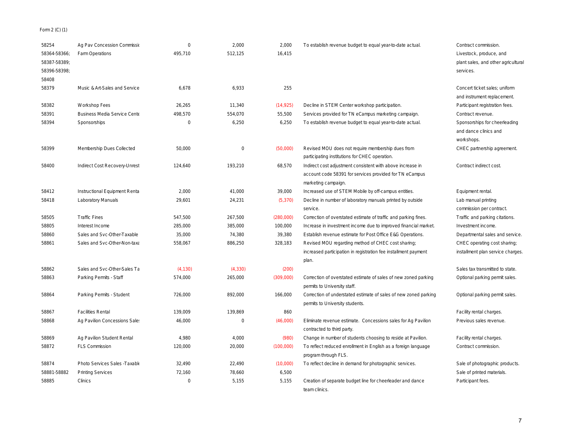Form 2 (C) (1)

| 58254        | Ag Pav Concession Commissio         | $\Omega$ | 2,000       | 2,000     | To establish revenue budget to equal year-to-date actual         | Contract commission.                |
|--------------|-------------------------------------|----------|-------------|-----------|------------------------------------------------------------------|-------------------------------------|
| 58364-58366; | Farm Operations                     | 495,710  | 512,125     | 16,415    |                                                                  | Livestock, produce, and             |
| 58387-58389; |                                     |          |             |           |                                                                  | plant sales, and other agricultural |
| 58396-58398; |                                     |          |             |           |                                                                  | services.                           |
| 58408        |                                     |          |             |           |                                                                  |                                     |
| 58379        | Music & Art-Sales and Service       | 6,678    | 6.933       | 255       |                                                                  | Concert ticket sales: uniform       |
|              |                                     |          |             |           |                                                                  | and instrument replacement.         |
| 58382        | Workshop Fees                       | 26,265   | 11,340      | (14, 925) | Decline in STEM Center workshop participation.                   | Participant registration fees.      |
| 58391        | <b>Business Media Service Cente</b> | 498,570  | 554,070     | 55,500    | Services provided for TN eCampus marketing campaign.             | Contract revenue.                   |
| 58394        | Sponsorships                        | $\Omega$ | 6,250       | 6,250     | To establish revenue budget to equal year-to-date actual.        | Sponsorships for cheerleading       |
|              |                                     |          |             |           |                                                                  | and dance clinics and               |
|              |                                     |          |             |           |                                                                  | workshops.                          |
| 58399        | Membership Dues Collected           | 50,000   | $\mathbf 0$ | (50,000)  | Revised MOU does not require membership dues from                | CHEC partnership agreement.         |
|              |                                     |          |             |           | participating institutions for CHEC operation.                   |                                     |
| 58400        | Indirect Cost Recovery-Unrest       | 124,640  | 193,210     | 68,570    | Indirect cost adjustment consistent with above increase in       | Contract indirect cost.             |
|              |                                     |          |             |           | account code 58391 for services provided for TN eCampus          |                                     |
|              |                                     |          |             |           | marketing campaign.                                              |                                     |
| 58412        | Instructional Equipment Renta       | 2,000    | 41,000      | 39,000    | Increased use of STEM Mobile by off-campus entities.             | Equipment rental.                   |
| 58418        | Laboratory Manuals                  | 29,601   | 24,231      | (5, 370)  | Decline in number of laboratory manuals printed by outside       | Lab manual printing                 |
|              |                                     |          |             |           | service.                                                         | commission per contract.            |
| 58505        | <b>Traffic Fines</b>                | 547,500  | 267,500     | (280,000) | Correction of overstated estimate of traffic and parking fines.  | Traffic and parking citations.      |
| 58805        | Interest Income                     | 285,000  | 385,000     | 100,000   | Increase in investment income due to improved financial market.  | Investment income.                  |
| 58860        | Sales and Svc-Other-Taxable         | 35,000   | 74,380      | 39,380    | Establish revenue estimate for Post Office E&G Operations.       | Departmental sales and service.     |
| 58861        | Sales and Svc-Other-Non-taxa        | 558,067  | 886,250     | 328,183   | Revised MOU regarding method of CHEC cost sharing;               | CHEC operating cost sharing;        |
|              |                                     |          |             |           | increased participation in registration fee installment payment  | installment plan service charges.   |
|              |                                     |          |             |           | plan.                                                            |                                     |
| 58862        | Sales and Svc-Other-Sales Ta        | (4, 130) | (4, 330)    | (200)     |                                                                  | Sales tax transmitted to state.     |
| 58863        | Parking Permits - Staff             | 574,000  | 265,000     | (309,000) | Correction of overstated estimate of sales of new zoned parking  | Optional parking permit sales.      |
|              |                                     |          |             |           | permits to University staff.                                     |                                     |
| 58864        | Parking Permits - Student           | 726.000  | 892,000     | 166,000   | Correction of understated estimate of sales of new zoned parking | Optional parking permit sales.      |
|              |                                     |          |             |           | permits to University students.                                  |                                     |
| 58867        | <b>Facilities Rental</b>            | 139,009  | 139,869     | 860       |                                                                  | Facility rental charges.            |
| 58868        | Ag Pavilion Concessions Sale:       | 46,000   | $\circ$     | (46,000)  | Eliminate revenue estimate. Concessions sales for Ag Pavilion    | Previous sales revenue.             |
|              |                                     |          |             |           | contracted to third party.                                       |                                     |
| 58869        | Ag Pavilion Student Rental          | 4,980    | 4,000       | (980)     | Change in number of students choosing to reside at Pavilion.     | Facility rental charges.            |
| 58872        | <b>FLS Commission</b>               | 120,000  | 20,000      | (100,000) | To reflect reduced enrollment in English as a foreign language   | Contract commission.                |
|              |                                     |          |             |           | program through FLS.                                             |                                     |
| 58874        | Photo Services Sales - Taxable      | 32,490   | 22,490      | (10,000)  | To reflect decline in demand for photographic services.          | Sale of photographic products.      |
| 58881-58882  | <b>Printing Services</b>            | 72,160   | 78,660      | 6,500     |                                                                  | Sale of printed materials.          |
| 58885        | Clinics                             | $\Omega$ | 5,155       | 5,155     | Creation of separate budget line for cheerleader and dance       | Participant fees.                   |
|              |                                     |          |             |           | team clinics.                                                    |                                     |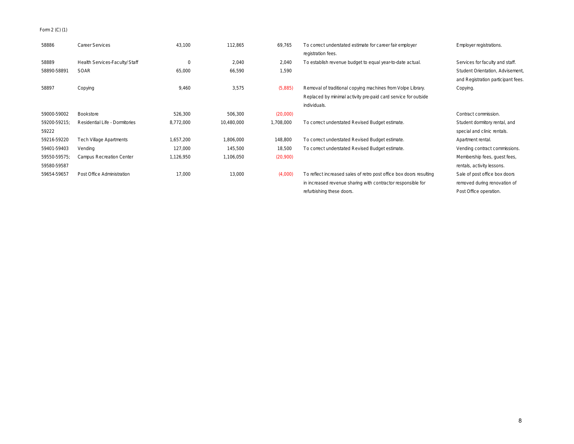Form 2 (C) (1)

| 58886        | Career Services                | 43,100    | 112,865    | 69,765    | To correct understated estimate for career fair employer            | Employer registrations.            |
|--------------|--------------------------------|-----------|------------|-----------|---------------------------------------------------------------------|------------------------------------|
|              |                                |           |            |           | registration fees.                                                  |                                    |
| 58889        | Health Services-Faculty/Staff  | $\Omega$  | 2,040      | 2,040     | To establish revenue budget to equal year-to-date actual.           | Services for faculty and staff.    |
| 58890-58891  | <b>SOAR</b>                    | 65,000    | 66,590     | 1,590     |                                                                     | Student Orientation, Advisement,   |
|              |                                |           |            |           |                                                                     | and Registration participant fees. |
| 58897        | Copying                        | 9,460     | 3,575      | (5,885)   | Removal of traditional copying machines from Volpe Library.         | Copying.                           |
|              |                                |           |            |           | Replaced by minimal activity pre-paid card service for outside      |                                    |
|              |                                |           |            |           | individuals.                                                        |                                    |
| 59000-59002  | Bookstore                      | 526,300   | 506,300    | (20,000)  |                                                                     | Contract commission.               |
| 59200-59215; | Residential Life - Dormitories | 8,772,000 | 10,480,000 | 1,708,000 | To correct understated Revised Budget estimate.                     | Student dormitory rental, and      |
| 59222        |                                |           |            |           |                                                                     | special and clinic rentals.        |
| 59216-59220  | <b>Tech Village Apartments</b> | 1,657,200 | 1,806,000  | 148,800   | To correct understated Revised Budget estimate.                     | Apartment rental.                  |
| 59401-59403  | Vending                        | 127,000   | 145,500    | 18,500    | To correct understated Revised Budget estimate.                     | Vending contract commissions.      |
| 59550-59575; | Campus Recreation Center       | 1,126,950 | 1,106,050  | (20,900)  |                                                                     | Membership fees, quest fees,       |
| 59580-59587  |                                |           |            |           |                                                                     | rentals, activity lessons.         |
| 59654-59657  | Post Office Administration     | 17,000    | 13,000     | (4,000)   | To reflect increased sales of retro post office box doors resulting | Sale of post office box doors      |
|              |                                |           |            |           | in increased revenue sharing with contractor responsible for        | removed during renovation of       |
|              |                                |           |            |           | refurbishing these doors.                                           | Post Office operation.             |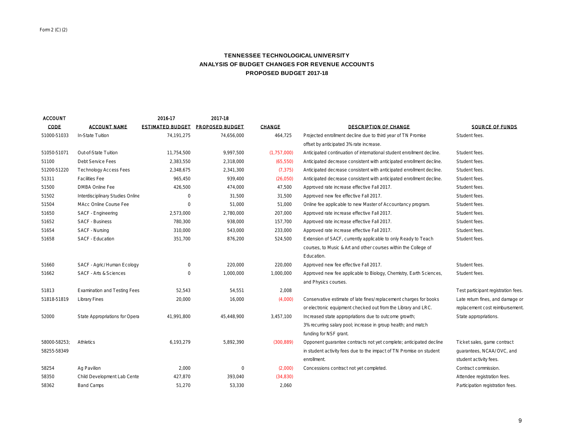# **TENNESSEE TECHNOLOGICAL UNIVERSITY ANALYSIS OF BUDGET CHANGES FOR REVENUE ACCOUNTS PROPOSED BUDGET 2017-18**

| <b>ACCOUNT</b> |                                     | 2016-17                 | 2017-18         |               |                                                                       |                                     |
|----------------|-------------------------------------|-------------------------|-----------------|---------------|-----------------------------------------------------------------------|-------------------------------------|
| CODE           | <b>ACCOUNT NAME</b>                 | <b>ESTIMATED BUDGET</b> | PROPOSED BUDGET | <b>CHANGE</b> | <b>DESCRIPTION OF CHANGE</b>                                          | SOURCE OF FUNDS                     |
| 51000-51033    | In-State Tuition                    | 74,191,275              | 74,656,000      | 464,725       | Projected enrollment decline due to third year of TN Promise          | Student fees.                       |
|                |                                     |                         |                 |               | offset by anticipated 3% rate increase.                               |                                     |
| 51050-51071    | Out-of-State Tuition                | 11,754,500              | 9.997.500       | (1,757,000)   | Anticipated continuation of international student enrollment decline. | Student fees.                       |
| 51100          | Debt Service Fees                   | 2,383,550               | 2.318.000       | (65, 550)     | Anticipated decrease consistent with anticipated enrollment decline.  | Student fees.                       |
| 51200-51220    | <b>Technology Access Fees</b>       | 2,348,675               | 2,341,300       | (7, 375)      | Anticipated decrease consistent with anticipated enrollment decline.  | Student fees.                       |
| 51311          | <b>Facilities Fee</b>               | 965,450                 | 939,400         | (26,050)      | Anticipated decrease consistent with anticipated enrollment decline.  | Student fees.                       |
| 51500          | <b>DMBA Online Fee</b>              | 426.500                 | 474.000         | 47.500        | Approved rate increase effective Fall 2017.                           | Student fees.                       |
| 51502          | Interdisciplinary Studies Online    | $\circ$                 | 31,500          | 31,500        | Approved new fee effective Fall 2017.                                 | Student fees.                       |
| 51504          | MAcc Online Course Fee              | $\circ$                 | 51,000          | 51,000        | Online fee applicable to new Master of Accountancy program.           | Student fees.                       |
| 51650          | SACF - Engineering                  | 2,573,000               | 2,780,000       | 207,000       | Approved rate increase effective Fall 2017.                           | Student fees.                       |
| 51652          | <b>SACF - Business</b>              | 780.300                 | 938.000         | 157,700       | Approved rate increase effective Fall 2017.                           | Student fees.                       |
| 51654          | SACF - Nursing                      | 310,000                 | 543,000         | 233,000       | Approved rate increase effective Fall 2017.                           | Student fees.                       |
| 51658          | SACF - Education                    | 351,700                 | 876,200         | 524,500       | Extension of SACF, currently applicable to only Ready to Teach        | Student fees.                       |
|                |                                     |                         |                 |               | courses, to Music & Art and other courses within the College of       |                                     |
|                |                                     |                         |                 |               | Education.                                                            |                                     |
| 51660          | SACF - Agric/ Human Ecology         | $\circ$                 | 220,000         | 220,000       | Approved new fee effective Fall 2017.                                 | Student fees.                       |
| 51662          | SACF - Arts & Sciences              | $\circ$                 | 1,000,000       | 1,000,000     | Approved new fee applicable to Biology, Chemistry, Earth Sciences,    | Student fees.                       |
|                |                                     |                         |                 |               | and Physics courses.                                                  |                                     |
| 51813          | <b>Examination and Testing Fees</b> | 52,543                  | 54,551          | 2.008         |                                                                       | Test participant registration fees. |
| 51818-51819    | <b>Library Fines</b>                | 20,000                  | 16,000          | (4,000)       | Conservative estimate of late fines/replacement charges for books     | Late return fines, and damage or    |
|                |                                     |                         |                 |               | or electronic equipment checked out from the Library and LRC.         | replacement cost reimbursement.     |
| 52000          | State Appropriations for Opera      | 41.991.800              | 45.448.900      | 3.457.100     | Increased state appropriations due to outcome growth;                 | State appropriations.               |
|                |                                     |                         |                 |               | 3% recurring salary pool; increase in group health; and match         |                                     |
|                |                                     |                         |                 |               | funding for NSF grant.                                                |                                     |
| 58000-58253    | Athletics                           | 6,193,279               | 5,892,390       | (300, 889)    | Opponent quarantee contracts not yet complete; anticipated decline    | Ticket sales, game contract         |
| 58255-58349    |                                     |                         |                 |               | in student activity fees due to the impact of TN Promise on student   | quarantees, NCAA/OVC, and           |
|                |                                     |                         |                 |               | enrollment.                                                           | student activity fees.              |
| 58254          | Ag Pavilion                         | 2.000                   | $\circ$         | (2,000)       | Concessions contract not yet completed.                               | Contract commission.                |
| 58350          | Child Development Lab Cente         | 427,870                 | 393,040         | (34, 830)     |                                                                       | Attendee registration fees.         |
| 58362          | <b>Band Camps</b>                   | 51.270                  | 53.330          | 2.060         |                                                                       | Participation registration fees.    |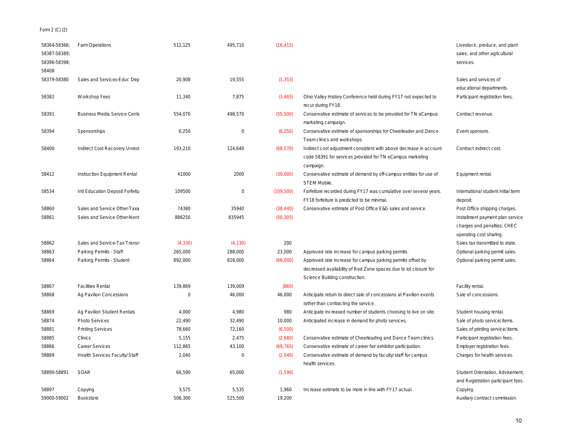# Form 2 (C) (2)

| 58364-58366;<br>58387-58389<br>58396-58398:<br>58408 | Farm Operations                 | 512,125  | 495,710  | (16, 415)  |                                                                                                                                                                   | Livestock, produce, and plant<br>sales, and other agricultural<br>services.                |
|------------------------------------------------------|---------------------------------|----------|----------|------------|-------------------------------------------------------------------------------------------------------------------------------------------------------------------|--------------------------------------------------------------------------------------------|
| 58379-58380                                          | Sales and Services-Educ Dep     | 20,908   | 19,555   | (1, 353)   |                                                                                                                                                                   | Sales and services of<br>educational departments.                                          |
| 58382                                                | Workshop Fees                   | 11,340   | 7,875    | (3, 465)   | Ohio Valley History Conference held during FY17 not expected to<br>recur during FY18.                                                                             | Participant registration fees.                                                             |
| 58391                                                | Business Media Service Cente    | 554,070  | 498,570  | (55,500)   | Conservative estimate of services to be provided for TN eCampus<br>marketing campaign.                                                                            | Contract revenue.                                                                          |
| 58394                                                | Sponsorships                    | 6,250    | $\circ$  | (6, 250)   | Conservative estimate of sponsorships for Cheerleader and Dance<br>Team clinics and workshops.                                                                    | Event sponsors.                                                                            |
| 58400                                                | Indirect Cost Recovery Unrest   | 193,210  | 124,640  | (68, 570)  | Indirect cost adjustment consistent with above decrease in account<br>code 58391 for services provided for TN eCampus marketing<br>campaign                       | Contract indirect cost.                                                                    |
| 58412                                                | Instruction Equipment Rental    | 41000    | 2000     | (39,000)   | Conservative estimate of demand by off-campus entities for use of<br><b>STEM Mobile</b>                                                                           | Equipment rental.                                                                          |
| 58534                                                | Intl Education Deposit Forfeitu | 109500   | $\circ$  | (109, 500) | Forfeiture recorded during FY17 was cumulative over several years.<br>FY18 forfeiture is predicted to be minimal.                                                 | International student initial term<br>deposit.                                             |
| 58860                                                | Sales and Service Other-Taxa    | 74380    | 35940    | (38, 440)  | Conservative estimate of Post Office E&G sales and service.                                                                                                       | Post Office shipping charges.                                                              |
| 58861                                                | Sales and Service Other-Nont    | 886250   | 835945   | (50, 305)  |                                                                                                                                                                   | Installment payment plan service<br>charges and penalties; CHEC<br>operating cost sharing. |
| 58862                                                | Sales and Service-Tax Transn    | (4, 330) | (4, 130) | 200        |                                                                                                                                                                   | Sales tax transmitted to state.                                                            |
| 58863                                                | Parking Permits - Staff         | 265,000  | 288,000  | 23,000     | Approved rate increase for campus parking permits.                                                                                                                | Optional parking permit sales.                                                             |
| 58864                                                | Parking Permits - Student       | 892,000  | 826,000  | (66,000)   | Approved rate increase for campus parking permits offset by<br>decreased availability of Red Zone spaces due to lot closure for<br>Science Building construction. | Optional parking permit sales.                                                             |
| 58867                                                | <b>Facilities Rental</b>        | 139,869  | 139,009  | (860)      |                                                                                                                                                                   | Facility rental.                                                                           |
| 58868                                                | Ag Pavilion Concessions         | $\circ$  | 46,000   | 46,000     | Anticipate return to direct sale of concessions at Pavilion events<br>rather than contracting the service.                                                        | Sale of concessions.                                                                       |
| 58869                                                | Ag Pavilion Student Rentals     | 4,000    | 4,980    | 980        | Anticipate increased number of students choosing to live on site.                                                                                                 | Student housing rental.                                                                    |
| 58874                                                | <b>Photo Services</b>           | 22,490   | 32,490   | 10,000     | Anticipated increase in demand for photo services.                                                                                                                | Sale of photo service/items.                                                               |
| 58881                                                | <b>Printing Services</b>        | 78,660   | 72,160   | (6,500)    |                                                                                                                                                                   | Sales of printing service/items.                                                           |
| 58885                                                | Clinics                         | 5,155    | 2,475    | (2,680)    | Conservative estimate of Cheerleading and Dance Team clinics.                                                                                                     | Participant registration fees.                                                             |
| 58886                                                | Career Services                 | 112,865  | 43,100   | (69, 765)  | Conservative estimate of career fair exhibitor participation.                                                                                                     | Employer registration fees.                                                                |
| 58889                                                | Health Services Faculty/ Staff  | 2,040    | $\circ$  | (2,040)    | Conservative estimate of demand by faculty/staff for campus<br>health services.                                                                                   | Charges for health services.                                                               |
| 58890-58891                                          | <b>SOAR</b>                     | 66,590   | 65,000   | (1,590)    |                                                                                                                                                                   | Student Orientation, Advisement,<br>and Registration participant fees.                     |
| 58897                                                | Copying                         | 3,575    | 5,535    | 1.960      | Increase estimate to be more in line with FY17 actual.                                                                                                            | Copying.                                                                                   |
| 59000-59002                                          | Bookstore                       | 506,300  | 525,500  | 19,200     |                                                                                                                                                                   | Auxiliary contract commission.                                                             |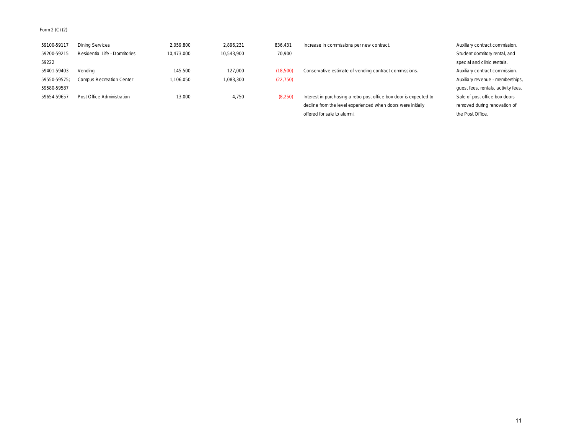# Form 2 (C) (2)

| 59100-59117  | Dining Services                | 2,059,800  | 2.896.231  | 836.431   | Increase in commissions per new contract.                          | Auxiliary contract commission.      |
|--------------|--------------------------------|------------|------------|-----------|--------------------------------------------------------------------|-------------------------------------|
| 59200-59215  | Residential Life - Dormitories | 10.473.000 | 10.543.900 | 70.900    |                                                                    | Student dormitory rental, and       |
| 59222        |                                |            |            |           |                                                                    | special and clinic rentals.         |
| 59401-59403  | Vendina                        | 145.500    | 127,000    | (18,500)  | Conservative estimate of vending contract commissions.             | Auxiliary contract commission.      |
| 59550-59575; | Campus Recreation Center       | .106.050   | 083.300    | (22, 750) |                                                                    | Auxiliary revenue - memberships,    |
| 59580-59587  |                                |            |            |           |                                                                    | quest fees, rentals, activity fees. |
| 59654-59657  | Post Office Administration     | 13.000     | 4.750      | (8,250)   | Interest in purchasing a retro post office box door is expected to | Sale of post office box doors       |
|              |                                |            |            |           | decline from the level experienced when doors were initially       | removed during renovation of        |

offered for sale to alumni. The Post Office.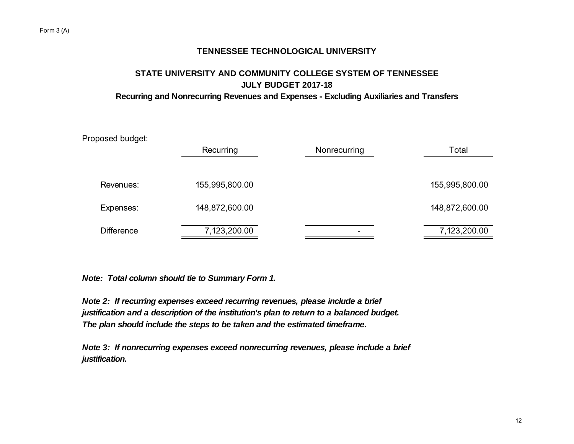# **STATE UNIVERSITY AND COMMUNITY COLLEGE SYSTEM OF TENNESSEE JULY BUDGET 2017-18 Recurring and Nonrecurring Revenues and Expenses - Excluding Auxiliaries and Transfers**

| Proposed budget:  |                |              |                |
|-------------------|----------------|--------------|----------------|
|                   | Recurring      | Nonrecurring | Total          |
|                   |                |              |                |
| Revenues:         | 155,995,800.00 |              | 155,995,800.00 |
| Expenses:         | 148,872,600.00 |              | 148,872,600.00 |
| <b>Difference</b> | 7,123,200.00   |              | 7,123,200.00   |
|                   |                |              |                |

*Note: Total column should tie to Summary Form 1.*

*Note 2: If recurring expenses exceed recurring revenues, please include a brief justification and a description of the institution's plan to return to a balanced budget. The plan should include the steps to be taken and the estimated timeframe.*

*Note 3: If nonrecurring expenses exceed nonrecurring revenues, please include a brief justification.*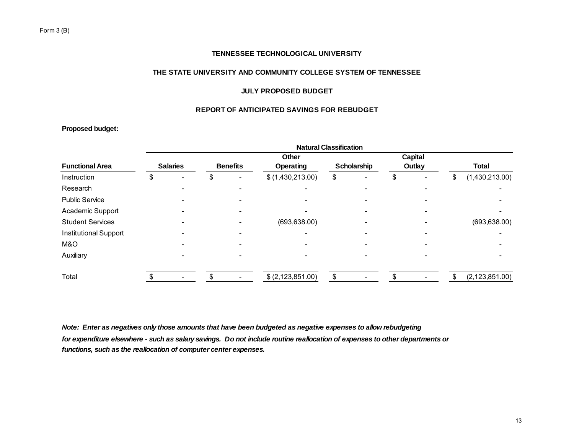# **THE STATE UNIVERSITY AND COMMUNITY COLLEGE SYSTEM OF TENNESSEE**

# **JULY PROPOSED BUDGET**

# **REPORT OF ANTICIPATED SAVINGS FOR REBUDGET**

# **Proposed budget:**

|                              | <b>Natural Classification</b> |    |                          |                   |    |             |    |        |    |                  |  |
|------------------------------|-------------------------------|----|--------------------------|-------------------|----|-------------|----|--------|----|------------------|--|
|                              |                               |    | Other                    |                   |    | Capital     |    |        |    |                  |  |
| <b>Functional Area</b>       | <b>Salaries</b>               |    | <b>Benefits</b>          | Operating         |    | Scholarship |    | Outlay |    | <b>Total</b>     |  |
| Instruction                  | \$                            | \$ | $\overline{\phantom{0}}$ | \$(1,430,213.00)  | \$ |             | \$ |        | \$ | (1,430,213.00)   |  |
| Research                     |                               |    |                          |                   |    |             |    |        |    |                  |  |
| <b>Public Service</b>        |                               |    |                          |                   |    |             |    |        |    |                  |  |
| Academic Support             |                               |    |                          |                   |    |             |    |        |    |                  |  |
| <b>Student Services</b>      |                               |    |                          | (693, 638.00)     |    |             |    |        |    | (693, 638.00)    |  |
| <b>Institutional Support</b> |                               |    |                          | ۰                 |    |             |    |        |    |                  |  |
| M&O                          |                               |    |                          |                   |    |             |    |        |    |                  |  |
| Auxiliary                    |                               |    |                          |                   |    |             |    |        |    |                  |  |
| Total                        |                               |    |                          | \$ (2,123,851.00) |    |             |    |        |    | (2, 123, 851.00) |  |

*Note: Enter as negatives only those amounts that have been budgeted as negative expenses to allow rebudgeting for expenditure elsewhere - such as salary savings. Do not include routine reallocation of expenses to other departments or functions, such as the reallocation of computer center expenses.*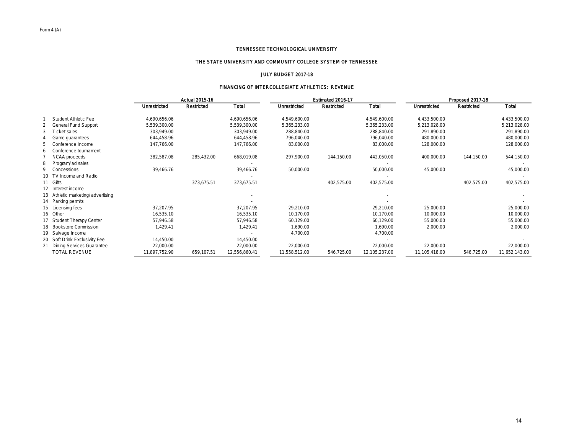#### THE STATE UNIVERSITY AND COMMUNITY COLLEGE SYSTEM OF TENNESSEE

#### JULY BUDGET 2017-18

# FINANCING OF INTERCOLLEGIATE ATHLETICS: REVENUE

|             |                                   |               | Actual 2015-16 |               |               | Estimated 2016-17 |               | Proposed 2017-18 |            |               |
|-------------|-----------------------------------|---------------|----------------|---------------|---------------|-------------------|---------------|------------------|------------|---------------|
|             |                                   | Unrestricted  | Restricted     | Total         | Unrestricted  | Restricted        | Total         | Unrestricted     | Restricted | Total         |
|             | Student Athletic Fee              | 4,690,656.06  |                | 4,690,656.06  | 4,549,600.00  |                   | 4,549,600.00  | 4,433,500.00     |            | 4,433,500.00  |
|             | <b>General Fund Support</b>       | 5,539,300.00  |                | 5,539,300.00  | 5,365,233.00  |                   | 5,365,233.00  | 5,213,028.00     |            | 5,213,028.00  |
|             | Ticket sales                      | 303,949.00    |                | 303,949.00    | 288,840.00    |                   | 288,840.00    | 291,890.00       |            | 291,890.00    |
|             | Game guarantees                   | 644,458.96    |                | 644,458.96    | 796,040.00    |                   | 796,040.00    | 480,000.00       |            | 480,000.00    |
|             | Conference Income                 | 147,766.00    |                | 147,766.00    | 83,000.00     |                   | 83,000.00     | 128,000.00       |            | 128,000.00    |
| 6           | Conference tournament             |               |                |               |               |                   |               |                  |            |               |
|             | NCAA proceeds                     | 382,587.08    | 285,432.00     | 668,019.08    | 297,900.00    | 144,150.00        | 442,050.00    | 400,000.00       | 144,150.00 | 544,150.00    |
| 8           | Program/ ad sales                 |               |                |               |               |                   |               |                  |            |               |
| $\mathsf Q$ | Concessions                       | 39,466.76     |                | 39,466.76     | 50,000.00     |                   | 50,000.00     | 45,000.00        |            | 45,000.00     |
|             | 10 TV Income and Radio            |               |                |               |               |                   |               |                  |            |               |
|             | 11 Gifts                          |               | 373,675.51     | 373,675.51    |               | 402,575.00        | 402,575.00    |                  | 402,575.00 | 402,575.00    |
|             | 12 Interest income                |               |                |               |               |                   |               |                  |            |               |
|             | 13 Athletic marketing/advertising |               |                |               |               |                   |               |                  |            |               |
|             | 14 Parking permits                |               |                |               |               |                   |               |                  |            |               |
|             | 15 Licensing fees                 | 37.207.95     |                | 37,207.95     | 29,210.00     |                   | 29,210.00     | 25,000.00        |            | 25,000.00     |
|             | 16 Other                          | 16,535.10     |                | 16,535.10     | 10,170.00     |                   | 10.170.00     | 10,000.00        |            | 10,000.00     |
|             | 17 Student Therapy Center         | 57.946.58     |                | 57,946.58     | 60,129.00     |                   | 60,129.00     | 55,000.00        |            | 55,000.00     |
|             | 18 Bookstore Commission           | 1,429.41      |                | 1,429.41      | 1,690.00      |                   | 1,690.00      | 2,000.00         |            | 2,000.00      |
|             | 19 Salvage Income                 |               |                |               | 4,700.00      |                   | 4,700.00      |                  |            |               |
|             | 20 Soft Drink Exclusivity Fee     | 14,450.00     |                | 14,450.00     |               |                   |               |                  |            |               |
|             | <b>Dining Services Guarantee</b>  | 22,000.00     |                | 22,000.00     | 22,000.00     |                   | 22,000.00     | 22,000.00        |            | 22,000.00     |
|             | TOTAL REVENUE                     | 11,897,752.90 | 659,107.51     | 12,556,860.41 | 11,558,512.00 | 546,725.00        | 12,105,237.00 | 11,105,418.00    | 546,725.00 | 11,652,143.00 |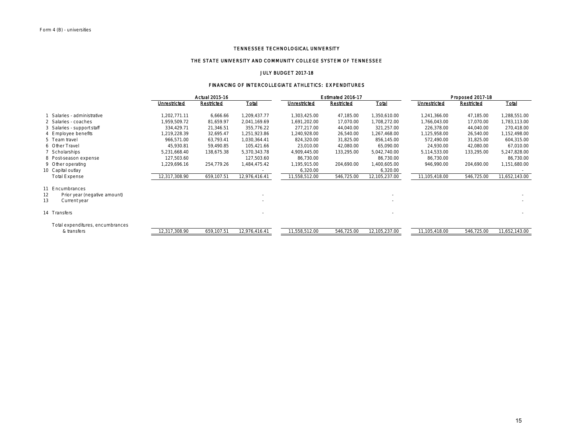# THE STATE UNIVERSITY AND COMMUNITY COLLEGE SYSTEM OF TENNESSEE

#### JULY BUDGET 2017-18

#### FINANCING OF INTERCOLLEGIATE ATHLETICS: EXPENDITURES

|    |                                  |               | Actual 2015-16 |               | Estimated 2016-17 |            |               | Proposed 2017-18 |            |               |  |
|----|----------------------------------|---------------|----------------|---------------|-------------------|------------|---------------|------------------|------------|---------------|--|
|    |                                  | Unrestricted  | Restricted     | Total         | Unrestricted      | Restricted | Total         | Unrestricted     | Restricted | Total         |  |
|    | Salaries - administrative        | 1,202,771.11  | 6,666.66       | 1,209,437.77  | 1,303,425.00      | 47,185.00  | 1,350,610.00  | 1,241,366.00     | 47,185.00  | 1,288,551.00  |  |
|    | 2 Salaries - coaches             | .959.509.72   | 81,659.97      | 2,041,169.69  | 1,691,202.00      | 17,070.00  | 1,708,272.00  | 1,766,043.00     | 17,070.00  | 1,783,113.00  |  |
|    | 3 Salaries - support staff       | 334.429.71    | 21,346.51      | 355,776.22    | 277,217.00        | 44,040.00  | 321,257.00    | 226,378.00       | 44,040.00  | 270,418.00    |  |
|    | 4 Employee benefits              | .219.228.39   | 32,695.47      | 1,251,923.86  | ,240,928.00       | 26,540.00  | 1,267,468.00  | 1,125,958.00     | 26,540.00  | 1,152,498.00  |  |
|    | 5 Team travel                    | 966.571.00    | 63,793.41      | 1,030,364.41  | 824,320.00        | 31,825.00  | 856,145.00    | 572.490.00       | 31,825.00  | 604,315.00    |  |
|    | 6 Other Travel                   | 45,930.81     | 59,490.85      | 105,421.66    | 23,010.00         | 42,080.00  | 65,090.00     | 24,930.00        | 42,080.00  | 67,010.00     |  |
|    | 7 Scholarships                   | 5,231,668.40  | 138,675.38     | 5,370,343.78  | 4,909,445.00      | 133,295.00 | 5,042,740.00  | 5,114,533.00     | 133,295.00 | 5,247,828.00  |  |
|    | 8 Post-season expense            | 127,503.60    |                | 127,503.60    | 86,730.00         |            | 86,730.00     | 86,730.00        |            | 86,730.00     |  |
|    | 9 Other operating                | ,229,696.16   | 254,779.26     | 1,484,475.42  | 1,195,915.00      | 204,690.00 | 1,400,605.00  | 946,990.00       | 204,690.00 | 1,151,680.00  |  |
|    | 10 Capital outlay                |               |                |               | 6,320.00          |            | 6,320.00      |                  |            |               |  |
|    | Total Expense                    | 12,317,308.90 | 659,107.51     | 12,976,416.41 | 11,558,512.00     | 546,725.00 | 12,105,237.00 | 11,105,418.00    | 546,725.00 | 11,652,143.00 |  |
|    | 11 Encumbrances                  |               |                |               |                   |            |               |                  |            |               |  |
| 12 | Prior year (negative amount)     |               |                |               |                   |            |               |                  |            |               |  |
| 13 | Current year                     |               |                |               |                   |            |               |                  |            |               |  |
|    |                                  |               |                |               |                   |            |               |                  |            |               |  |
|    | 14 Transfers                     |               |                |               |                   |            |               |                  |            |               |  |
|    | Total expenditures, encumbrances |               |                |               |                   |            |               |                  |            |               |  |
|    | & transfers                      | 12,317,308.90 | 659,107.51     | 12,976,416.41 | 11,558,512.00     | 546,725.00 | 12,105,237.00 | 11,105,418.00    | 546,725.00 | 11,652,143.00 |  |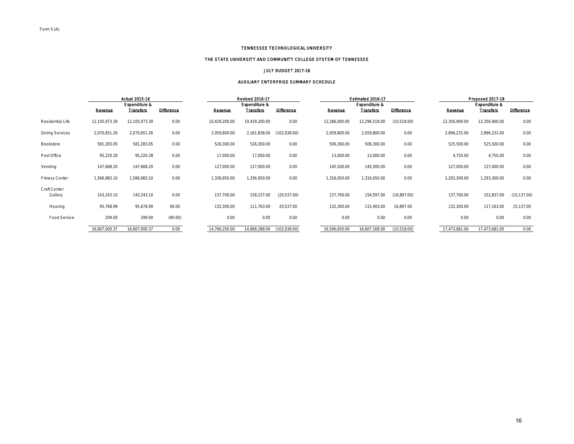# THE STATE UNIVERSITY AND COMMUNITY COLLEGE SYSTEM OF TENNESSEE

#### JULY BUDGET 2017-18

#### AUXILIARY ENTERPRISE SUMMARY SCHEDULE

|                        |               | Actual 2015-16   |                   |               | Revised 2016-17  |                   |               | Estimated 2016-17 |                   |               | Proposed 2017-18 |                   |
|------------------------|---------------|------------------|-------------------|---------------|------------------|-------------------|---------------|-------------------|-------------------|---------------|------------------|-------------------|
|                        |               | Expenditure &    |                   |               | Expenditure &    |                   |               | Expenditure &     |                   |               | Expenditure &    |                   |
|                        | Revenue       | <b>Transfers</b> | <b>Difference</b> | Revenue       | <b>Transfers</b> | <b>Difference</b> | Revenue       | <b>Transfers</b>  | <b>Difference</b> | Revenue       | <b>Transfers</b> | <b>Difference</b> |
| Residential Life       | 12,105,973.39 | 12,105,973.39    | 0.00              | 10,429,200.00 | 10,429,200.00    | 0.00              | 12,286,000.00 | 12,296,518.00     | (10,518.00)       | 12,356,900.00 | 12,356,900.00    | 0.00              |
| <b>Dining Services</b> | 2,070,651.26  | 2,070,651.26     | 0.00              | 2,059,800.00  | 2,161,838.00     | (102,038.00)      | 2,059,800.00  | 2,059,800.00      | 0.00              | 2,896,231.00  | 2,896,231.00     | 0.00              |
| Bookstore              | 581,283.05    | 581,283.05       | 0.00              | 526,300.00    | 526,300.00       | 0.00              | 506,300.00    | 506,300.00        | 0.00              | 525,500.00    | 525,500.00       | 0.00              |
| Post Office            | 95,220.28     | 95,220.28        | 0.00              | 17,000.00     | 17,000.00        | 0.00              | 13,000.00     | 13,000.00         | 0.00              | 4,750.00      | 4,750.00         | 0.00              |
| Vending                | 147,668.20    | 147,668.20       | 0.00              | 127,000.00    | 127,000.00       | 0.00              | 145,500.00    | 145,500.00        | 0.00              | 127,000.00    | 127,000.00       | 0.00              |
| <b>Fitness Center</b>  | 1,566,983.10  | 1,566,983.10     | 0.00              | 1,336,950.00  | 1,336,950.00     | 0.00              | 1,316,050.00  | 1,316,050.00      | 0.00              | 1,293,300.00  | 1,293,300.00     | 0.00              |
| Craft Center:          |               |                  |                   |               |                  |                   |               |                   |                   |               |                  |                   |
| Gallery                | 143,243.10    | 143,243.10       | 0.00              | 137,700.00    | 158,237.00       | (20,537.00)       | 137,700.00    | 154,597.00        | (16,897.00)       | 137,700.00    | 152,837.00       | (15, 137.00)      |
| Housing                | 95,768.99     | 95,678.99        | 90.00             | 132,300.00    | 111,763.00       | 20,537.00         | 132,300.00    | 115,403.00        | 16,897.00         | 132,300.00    | 117,163.00       | 15,137.00         |
| Food Service           | 209.00        | 299.00           | (90.00)           | 0.00          | 0.00             | 0.00              | 0.00          | 0.00              | 0.00              | 0.00          | 0.00             | 0.00              |
|                        | 16,807,000.37 | 16,807,000.37    | 0.00              | 14,766,250.00 | 14,868,288.00    | (102, 038.00)     | 16,596,650.00 | 16,607,168.00     | (10, 518.00)      | 17,473,681.00 | 17,473,681.00    | 0.00              |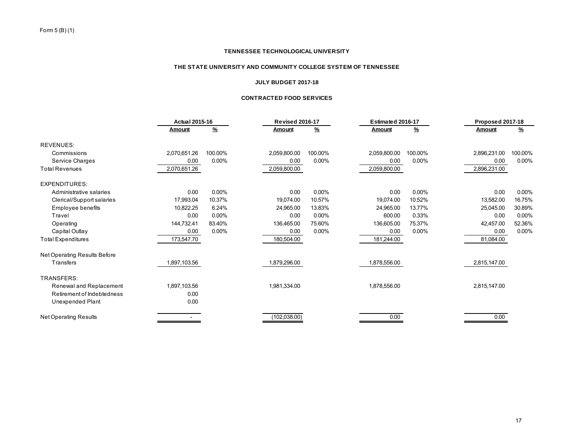# **THE STATE UNIVERSITY AND COMMUNITY COLLEGE SYSTEM OF TENNESSEE**

#### **JULY BUDGET 2017-18**

# **CONTRACTED FOOD SERVICES**

|                              | <b>Actual 2015-16</b> |               | <b>Revised 2016-17</b> |               | Estimated 2016-17 |               | Proposed 2017-18 |               |
|------------------------------|-----------------------|---------------|------------------------|---------------|-------------------|---------------|------------------|---------------|
|                              | Amount                | $\frac{9}{6}$ | Amount                 | $\frac{9}{6}$ | Amount            | $\frac{9}{6}$ | Amount           | $\frac{9}{6}$ |
| <b>REVENUES:</b>             |                       |               |                        |               |                   |               |                  |               |
| Commissions                  | 2,070,651.26          | 100.00%       | 2,059,800.00           | 100.00%       | 2,059,800.00      | 100.00%       | 2,896,231.00     | 100.00%       |
| Service Charges              | 0.00                  | $0.00\%$      | 0.00                   | 0.00%         | 0.00              | 0.00%         | 0.00             | 0.00%         |
| <b>Total Revenues</b>        | 2,070,651.26          |               | 2,059,800.00           |               | 2,059,800.00      |               | 2,896,231.00     |               |
| <b>EXPENDITURES:</b>         |                       |               |                        |               |                   |               |                  |               |
| Administrative salaries      | 0.00                  | 0.00%         | 0.00                   | 0.00%         | 0.00              | $0.00\%$      | 0.00             | 0.00%         |
| Clerical/Support salaries    | 17,993.04             | 10.37%        | 19,074.00              | 10.57%        | 19,074.00         | 10.52%        | 13,582.00        | 16.75%        |
| Employee benefits            | 10,822.25             | 6.24%         | 24,965.00              | 13.83%        | 24,965.00         | 13.77%        | 25,045.00        | 30.89%        |
| Travel                       | 0.00                  | 0.00%         | 0.00                   | 0.00%         | 600.00            | 0.33%         | 0.00             | 0.00%         |
| Operating                    | 144,732.41            | 83.40%        | 136,465.00             | 75.60%        | 136,605.00        | 75.37%        | 42,457.00        | 52.36%        |
| Capital Outlay               | 0.00                  | $0.00\%$      | 0.00                   | 0.00%         | 0.00              | 0.00%         | 0.00             | 0.00%         |
| <b>Total Expenditures</b>    | 173,547.70            |               | 180,504.00             |               | 181,244.00        |               | 81,084.00        |               |
| Net Operating Results Before |                       |               |                        |               |                   |               |                  |               |
| Transfers                    | 1,897,103.56          |               | 1,879,296.00           |               | 1,878,556.00      |               | 2,815,147.00     |               |
| <b>TRANSFERS:</b>            |                       |               |                        |               |                   |               |                  |               |
| Renewal and Replacement      | 1,897,103.56          |               | 1,981,334.00           |               | 1,878,556.00      |               | 2,815,147.00     |               |
| Retirement of Indebtedness   | 0.00                  |               |                        |               |                   |               |                  |               |
| Unexpended Plant             | 0.00                  |               |                        |               |                   |               |                  |               |
| <b>Net Operating Results</b> |                       |               | (102, 038.00)          |               | 0.00              |               | 0.00             |               |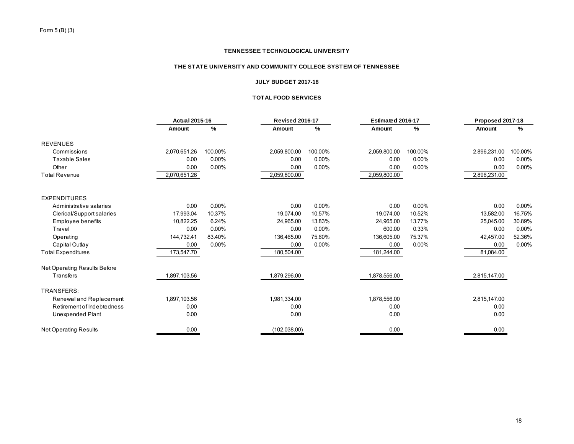# **THE STATE UNIVERSITY AND COMMUNITY COLLEGE SYSTEM OF TENNESSEE**

# **JULY BUDGET 2017-18**

# **TOTAL FOOD SERVICES**

|                              | <b>Actual 2015-16</b> |               | <b>Revised 2016-17</b><br>Estimated 2016-17 |               | Proposed 2017-18 |               |              |               |
|------------------------------|-----------------------|---------------|---------------------------------------------|---------------|------------------|---------------|--------------|---------------|
|                              | <b>Amount</b>         | $\frac{9}{6}$ | <b>Amount</b>                               | $\frac{9}{6}$ | Amount           | $\frac{9}{6}$ | Amount       | $\frac{9}{6}$ |
| <b>REVENUES</b>              |                       |               |                                             |               |                  |               |              |               |
| Commissions                  | 2,070,651.26          | 100.00%       | 2,059,800.00                                | 100.00%       | 2,059,800.00     | 100.00%       | 2,896,231.00 | 100.00%       |
| Taxable Sales                | 0.00                  | 0.00%         | 0.00                                        | $0.00\%$      | 0.00             | $0.00\%$      | 0.00         | 0.00%         |
| Other                        | 0.00                  | 0.00%         | 0.00                                        | 0.00%         | 0.00             | 0.00%         | 0.00         | 0.00%         |
| <b>Total Revenue</b>         | 2,070,651.26          |               | 2,059,800.00                                |               | 2,059,800.00     |               | 2,896,231.00 |               |
| <b>EXPENDITURES</b>          |                       |               |                                             |               |                  |               |              |               |
| Administrative salaries      | 0.00                  | 0.00%         | 0.00                                        | $0.00\%$      | 0.00             | $0.00\%$      | 0.00         | 0.00%         |
| Clerical/Support salaries    | 17,993.04             | 10.37%        | 19,074.00                                   | 10.57%        | 19,074.00        | 10.52%        | 13,582.00    | 16.75%        |
| <b>Employee benefits</b>     | 10,822.25             | 6.24%         | 24,965.00                                   | 13.83%        | 24,965.00        | 13.77%        | 25,045.00    | 30.89%        |
| Travel                       | 0.00                  | $0.00\%$      | 0.00                                        | $0.00\%$      | 600.00           | 0.33%         | 0.00         | 0.00%         |
| Operating                    | 144,732.41            | 83.40%        | 136,465.00                                  | 75.60%        | 136,605.00       | 75.37%        | 42,457.00    | 52.36%        |
| Capital Outlay               | 0.00                  | 0.00%         | 0.00                                        | 0.00%         | 0.00             | 0.00%         | 0.00         | 0.00%         |
| <b>Total Expenditures</b>    | 173,547.70            |               | 180,504.00                                  |               | 181,244.00       |               | 81,084.00    |               |
| Net Operating Results Before |                       |               |                                             |               |                  |               |              |               |
| Transfers                    | 1,897,103.56          |               | 1,879,296.00                                |               | 1,878,556.00     |               | 2,815,147.00 |               |
| TRANSFERS:                   |                       |               |                                             |               |                  |               |              |               |
| Renewal and Replacement      | 1,897,103.56          |               | 1,981,334.00                                |               | 1,878,556.00     |               | 2,815,147.00 |               |
| Retirement of Indebtedness   | 0.00                  |               | 0.00                                        |               | 0.00             |               | 0.00         |               |
| Unexpended Plant             | 0.00                  |               | 0.00                                        |               | 0.00             |               | 0.00         |               |
| <b>Net Operating Results</b> | 0.00                  |               | (102, 038.00)                               |               | 0.00             |               | 0.00         |               |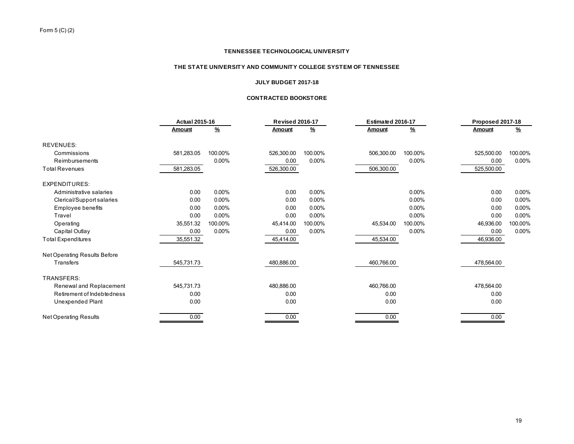# **THE STATE UNIVERSITY AND COMMUNITY COLLEGE SYSTEM OF TENNESSEE**

#### **JULY BUDGET 2017-18**

# **CONTRACTED BOOKSTORE**

|                              | <b>Actual 2015-16</b> |               | <b>Revised 2016-17</b> |               | Estimated 2016-17 |               | Proposed 2017-18 |               |
|------------------------------|-----------------------|---------------|------------------------|---------------|-------------------|---------------|------------------|---------------|
|                              | Amount                | $\frac{9}{6}$ | Amount                 | $\frac{9}{6}$ | <b>Amount</b>     | $\frac{9}{6}$ | Amount           | $\frac{9}{6}$ |
| <b>REVENUES:</b>             |                       |               |                        |               |                   |               |                  |               |
| Commissions                  | 581,283.05            | 100.00%       | 526,300.00             | 100.00%       | 506,300.00        | 100.00%       | 525,500.00       | 100.00%       |
| <b>Reimbursements</b>        |                       | $0.00\%$      | 0.00                   | 0.00%         |                   | 0.00%         | 0.00             | 0.00%         |
| <b>Total Revenues</b>        | 581,283.05            |               | 526,300.00             |               | 506,300.00        |               | 525,500.00       |               |
| <b>EXPENDITURES:</b>         |                       |               |                        |               |                   |               |                  |               |
| Administrative salaries      | 0.00                  | 0.00%         | 0.00                   | $0.00\%$      |                   | 0.00%         | 0.00             | 0.00%         |
| Clerical/Support salaries    | 0.00                  | 0.00%         | 0.00                   | 0.00%         |                   | 0.00%         | 0.00             | 0.00%         |
| Employee benefits            | 0.00                  | 0.00%         | 0.00                   | $0.00\%$      |                   | 0.00%         | 0.00             | 0.00%         |
| Travel                       | 0.00                  | 0.00%         | 0.00                   | $0.00\%$      |                   | 0.00%         | 0.00             | $0.00\%$      |
| Operating                    | 35,551.32             | 100.00%       | 45,414.00              | 100.00%       | 45,534.00         | 100.00%       | 46,936.00        | 100.00%       |
| Capital Outlay               | 0.00                  | $0.00\%$      | 0.00                   | 0.00%         |                   | 0.00%         | 0.00             | 0.00%         |
| <b>Total Expenditures</b>    | 35,551.32             |               | 45,414.00              |               | 45,534.00         |               | 46,936.00        |               |
| Net Operating Results Before |                       |               |                        |               |                   |               |                  |               |
| Transfers                    | 545,731.73            |               | 480,886.00             |               | 460,766.00        |               | 478,564.00       |               |
| TRANSFERS:                   |                       |               |                        |               |                   |               |                  |               |
| Renewal and Replacement      | 545,731.73            |               | 480,886.00             |               | 460,766.00        |               | 478,564.00       |               |
| Retirement of Indebtedness   | 0.00                  |               | 0.00                   |               | 0.00              |               | 0.00             |               |
| Unexpended Plant             | 0.00                  |               | 0.00                   |               | 0.00              |               | 0.00             |               |
| <b>Net Operating Results</b> | 0.00                  |               | 0.00                   |               | 0.00              |               | 0.00             |               |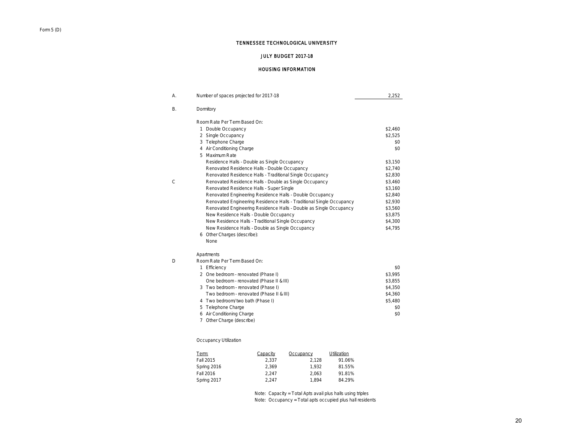# JULY BUDGET 2017-18

#### HOUSING INFORMATION

| А. | Number of spaces projected for 2017-18                               | 2,252   |
|----|----------------------------------------------------------------------|---------|
| В. | Dormitory                                                            |         |
|    | Room Rate Per Term Based On:                                         |         |
|    | 1 Double Occupancy                                                   | \$2,460 |
|    | 2 Single Occupancy                                                   | \$2,525 |
|    | 3 Telephone Charge                                                   | \$0     |
|    | 4 Air Conditioning Charge                                            | \$0     |
|    | 5 Maximum Rate                                                       |         |
|    | Residence Halls - Double as Single Occupancy                         | \$3,150 |
|    | Renovated Residence Halls - Double Occupancy                         | \$2,740 |
|    | Renovated Residence Halls - Traditional Single Occupancy             | \$2,830 |
| C  | Renovated Residence Halls - Double as Single Occupancy               | \$3,460 |
|    | Renovated Residence Halls - Super Single                             | \$3,160 |
|    | Renovated Engineering Residence Halls - Double Occupancy             | \$2,840 |
|    | Renovated Engineering Residence Halls - Traditional Single Occupancy | \$2,930 |
|    | Renovated Engineering Residence Halls - Double as Single Occupancy   | \$3,560 |
|    | New Residence Halls - Double Occupancy                               | \$3,875 |
|    | New Residence Halls - Traditional Single Occupancy                   | \$4,300 |
|    | New Residence Halls - Double as Single Occupancy                     | \$4,795 |
|    | 6 Other Charges (describe):                                          |         |
|    | <b>None</b>                                                          |         |
|    | Apartments                                                           |         |
| D  | Room Rate Per Term Based On:                                         |         |
|    | 1 Efficiency                                                         | \$0     |
|    | 2 One bedroom - renovated (Phase I)                                  | \$3,995 |
|    | One bedroom - renovated (Phase II & III)                             | \$3,855 |
|    | 3 Two bedroom - renovated (Phase I)                                  | \$4,350 |
|    | Two bedroom - renovated (Phase II & III)                             | \$4,360 |
|    | 4 Two bedroom/ two bath (Phase I)                                    | \$5,480 |
|    | 5 Telephone Charge                                                   | \$0     |
|    | 6 Air Conditioning Charge                                            | \$0     |
|    | 7 Other Charge (describe)                                            |         |

# Occupancy Utilization

| Term:       | Capacity | Occupancy | Utilization |
|-------------|----------|-----------|-------------|
| Fall 2015   | 2.337    | 2.128     | 91.06%      |
| Spring 2016 | 2.369    | 1.932     | 81.55%      |
| Fall 2016   | 2.247    | 2.063     | 91.81%      |
| Spring 2017 | 2.247    | 1.894     | 84.29%      |

Note: Capacity = Total Apts avail plus halls using triples Note: Occupancy = Total apts occupied plus hall residents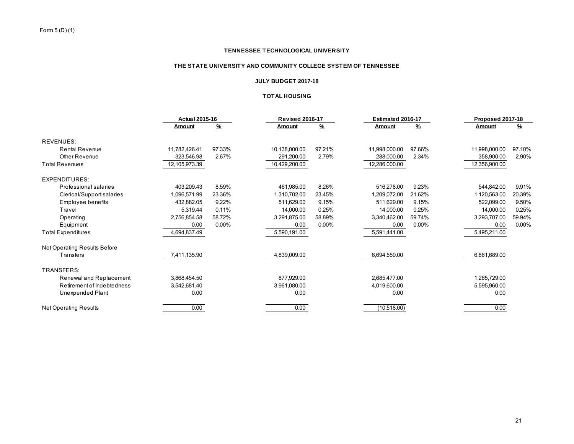# **THE STATE UNIVERSITY AND COMMUNITY COLLEGE SYSTEM OF TENNESSEE**

# **JULY BUDGET 2017-18**

# **TOTAL HOUSING**

|                                     | <b>Actual 2015-16</b> |               | <b>Revised 2016-17</b> |               | Estimated 2016-17 |               |               | Proposed 2017-18 |  |
|-------------------------------------|-----------------------|---------------|------------------------|---------------|-------------------|---------------|---------------|------------------|--|
|                                     | Amount                | $\frac{9}{6}$ | Amount                 | $\frac{9}{6}$ | Amount            | $\frac{9}{6}$ | Amount        | %                |  |
| <b>REVENUES:</b>                    |                       |               |                        |               |                   |               |               |                  |  |
| Rental Revenue                      | 11,782,426.41         | 97.33%        | 10,138,000.00          | 97.21%        | 11.998.000.00     | 97.66%        | 11,998,000.00 | 97.10%           |  |
| Other Revenue                       | 323,546.98            | 2.67%         | 291,200.00             | 2.79%         | 288,000.00        | 2.34%         | 358,900.00    | 2.90%            |  |
| <b>Total Revenues</b>               | 12,105,973.39         |               | 10,429,200.00          |               | 12,286,000.00     |               | 12,356,900.00 |                  |  |
| <b>EXPENDITURES:</b>                |                       |               |                        |               |                   |               |               |                  |  |
| Professional salaries               | 403,209.43            | 8.59%         | 461,985.00             | 8.26%         | 516.278.00        | 9.23%         | 544.842.00    | 9.91%            |  |
| Clerical/Support salaries           | 1,096,571.99          | 23.36%        | 1,310,702.00           | 23.45%        | 1.209.072.00      | 21.62%        | 1,120,563.00  | 20.39%           |  |
| Employee benefits                   | 432.882.05            | 9.22%         | 511.629.00             | 9.15%         | 511.629.00        | 9.15%         | 522,099.00    | 9.50%            |  |
| Travel                              | 5.319.44              | 0.11%         | 14.000.00              | 0.25%         | 14.000.00         | 0.25%         | 14,000.00     | 0.25%            |  |
| Operating                           | 2,756,854.58          | 58.72%        | 3,291,875.00           | 58.89%        | 3,340,462.00      | 59.74%        | 3,293,707.00  | 59.94%           |  |
| Equipment                           | 0.00                  | $0.00\%$      | 0.00                   | $0.00\%$      | 0.00              | $0.00\%$      | 0.00          | 0.00%            |  |
| <b>Total Expenditures</b>           | 4,694,837.49          |               | 5,590,191.00           |               | 5,591,441.00      |               | 5,495,211.00  |                  |  |
| <b>Net Operating Results Before</b> |                       |               |                        |               |                   |               |               |                  |  |
| Transfers                           | 7,411,135.90          |               | 4,839,009.00           |               | 6,694,559.00      |               | 6,861,689.00  |                  |  |
| <b>TRANSFERS:</b>                   |                       |               |                        |               |                   |               |               |                  |  |
| Renewal and Replacement             | 3,868,454.50          |               | 877,929.00             |               | 2,685,477.00      |               | 1,265,729.00  |                  |  |
| Retirement of Indebtedness          | 3,542,681.40          |               | 3.961.080.00           |               | 4.019.600.00      |               | 5,595,960.00  |                  |  |
| Unexpended Plant                    | 0.00                  |               | 0.00                   |               | 0.00              |               | 0.00          |                  |  |
| <b>Net Operating Results</b>        | 0.00                  |               | 0.00                   |               | (10,518.00)       |               | 0.00          |                  |  |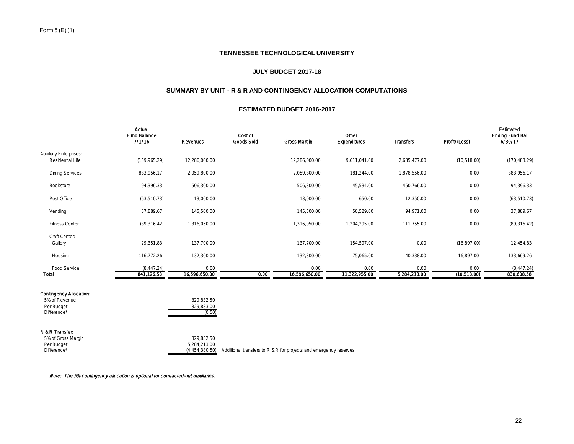# **JULY BUDGET 2017-18**

# **SUMMARY BY UNIT - R & R AND CONTINGENCY ALLOCATION COMPUTATIONS**

#### **ESTIMATED BUDGET 2016-2017**

| Actual<br><b>Fund Balance</b><br>71116 | Revenues              | Cost of<br>Goods Sold | <b>Gross Margin</b>   | Other<br>Expenditures | <b>Transfers</b>     | Profit/ (Loss)       | Estimated<br>Ending Fund Bal<br>6/30/17 |
|----------------------------------------|-----------------------|-----------------------|-----------------------|-----------------------|----------------------|----------------------|-----------------------------------------|
| (159, 965.29)                          | 12,286,000.00         |                       | 12,286,000.00         | 9,611,041.00          | 2,685,477.00         | (10,518.00)          | (170, 483.29)                           |
| 883,956.17                             | 2,059,800.00          |                       | 2,059,800.00          | 181,244.00            | 1,878,556.00         | 0.00                 | 883,956.17                              |
| 94,396.33                              | 506,300.00            |                       | 506,300.00            | 45,534.00             | 460,766.00           | 0.00                 | 94,396.33                               |
| (63, 510.73)                           | 13,000.00             |                       | 13,000.00             | 650.00                | 12,350.00            | 0.00                 | (63, 510.73)                            |
| 37,889.67                              | 145,500.00            |                       | 145,500.00            | 50,529.00             | 94,971.00            | 0.00                 | 37,889.67                               |
| (89, 316.42)                           | 1,316,050.00          |                       | 1,316,050.00          | 1,204,295.00          | 111,755.00           | 0.00                 | (89, 316.42)                            |
| 29,351.83                              | 137,700.00            |                       | 137,700.00            | 154,597.00            | 0.00                 | (16,897.00)          | 12,454.83                               |
| 116,772.26                             | 132,300.00            |                       | 132,300.00            | 75,065.00             | 40,338.00            | 16,897.00            | 133,669.26                              |
| (8, 447.24)<br>841,126.58              | 0.00<br>16,596,650.00 | 0.00                  | 0.00<br>16,596,650.00 | 0.00<br>11,322,955.00 | 0.00<br>5,284,213.00 | 0.00<br>(10, 518.00) | (8, 447.24)<br>830,608.58               |
|                                        |                       |                       |                       |                       |                      |                      |                                         |

| 5% of Revenue | 829.832.50 |
|---------------|------------|
| Per Budget    | 829.833.00 |
| Difference*   | (0.50)     |

#### R & R Transfer:

| 5% of Gross Margin | 829.832.50     |                                                                    |
|--------------------|----------------|--------------------------------------------------------------------|
| Per Budget         | 5.284.213.00   |                                                                    |
| Difference*        | (4.454.380.50) | Additional transfers to R & R for projects and emergency reserves. |

Note: The 5% contingency allocation is optional for contracted-out auxiliaries.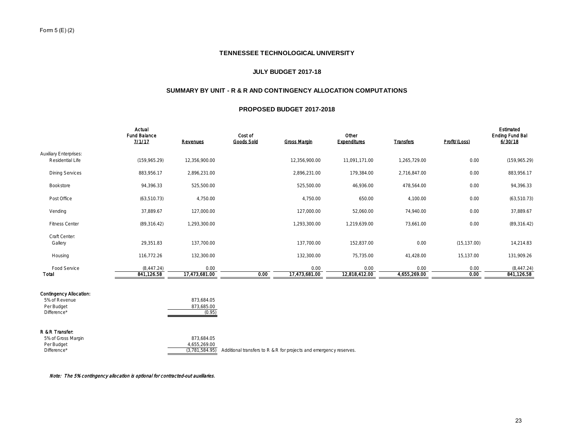# **JULY BUDGET 2017-18**

# **SUMMARY BY UNIT - R & R AND CONTINGENCY ALLOCATION COMPUTATIONS**

#### **PROPOSED BUDGET 2017-2018**

|                                                   | Actual<br>Fund Balance<br>71117 | Revenues              | Cost of<br>Goods Sold | <b>Gross Margin</b>   | Other<br>Expenditures | Transfers            | Profit/ (Loss) | Estimated<br>Ending Fund Bal<br>6/30/18 |
|---------------------------------------------------|---------------------------------|-----------------------|-----------------------|-----------------------|-----------------------|----------------------|----------------|-----------------------------------------|
| <b>Auxiliary Enterprises:</b><br>Residential Life | (159, 965.29)                   | 12,356,900.00         |                       | 12,356,900.00         | 11,091,171.00         | 1,265,729.00         | 0.00           | (159, 965.29)                           |
| <b>Dining Services</b>                            | 883,956.17                      | 2,896,231.00          |                       | 2,896,231.00          | 179,384.00            | 2,716,847.00         | 0.00           | 883,956.17                              |
| Bookstore                                         | 94,396.33                       | 525,500.00            |                       | 525,500.00            | 46,936.00             | 478,564.00           | 0.00           | 94,396.33                               |
| Post Office                                       | (63, 510.73)                    | 4,750.00              |                       | 4,750.00              | 650.00                | 4,100.00             | 0.00           | (63, 510.73)                            |
| Vending                                           | 37,889.67                       | 127,000.00            |                       | 127,000.00            | 52,060.00             | 74,940.00            | 0.00           | 37,889.67                               |
| <b>Fitness Center</b>                             | (89, 316.42)                    | 1,293,300.00          |                       | 1,293,300.00          | 1,219,639.00          | 73,661.00            | 0.00           | (89, 316.42)                            |
| Craft Center:<br>Gallery                          | 29,351.83                       | 137,700.00            |                       | 137,700.00            | 152,837.00            | 0.00                 | (15, 137.00)   | 14,214.83                               |
| Housing                                           | 116,772.26                      | 132,300.00            |                       | 132,300.00            | 75,735.00             | 41,428.00            | 15,137.00      | 131,909.26                              |
| Food Service<br>Total                             | (8, 447.24)<br>841,126.58       | 0.00<br>17,473,681.00 | 0.00                  | 0.00<br>17,473,681.00 | 0.00<br>12,818,412.00 | 0.00<br>4,655,269.00 | 0.00<br>0.00   | (8,447.24)<br>841,126.58                |
|                                                   |                                 |                       |                       |                       |                       |                      |                |                                         |

# Contingency Allocation:

| 5% of Revenue | 873.684.05 |
|---------------|------------|
| Per Budget    | 873.685.00 |
| Difference*   | (0.95)     |

#### R & R Transfer:

| 5% of Gross Margin | 873.684.05   |                                                                                     |
|--------------------|--------------|-------------------------------------------------------------------------------------|
| Per Budget         | 4.655.269.00 |                                                                                     |
| Difference*        |              | $(3.781.584.95)$ Additional transfers to R & R for projects and emergency reserves. |

Note: The 5% contingency allocation is optional for contracted-out auxiliaries.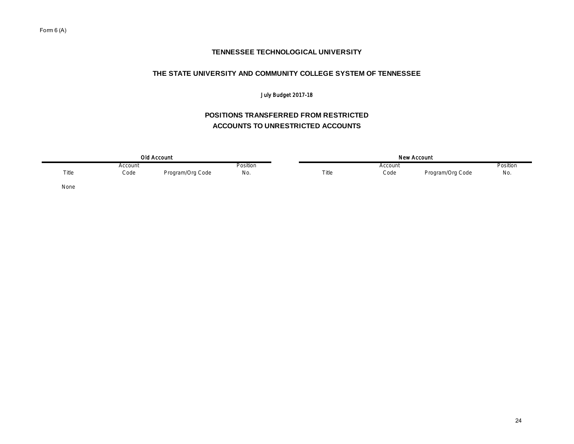# **THE STATE UNIVERSITY AND COMMUNITY COLLEGE SYSTEM OF TENNESSEE**

# July Budget 2017-18

# **POSITIONS TRANSFERRED FROM RESTRICTED ACCOUNTS TO UNRESTRICTED ACCOUNTS**

|       |         | Old Account      |                 | New Account |         |                  |          |  |  |  |
|-------|---------|------------------|-----------------|-------------|---------|------------------|----------|--|--|--|
|       | Account |                  | <b>Position</b> |             | Account |                  | Position |  |  |  |
| Title | Code    | Program/Org Code | No.             | Title       | Code    | Program/Org Code | No.      |  |  |  |
| None  |         |                  |                 |             |         |                  |          |  |  |  |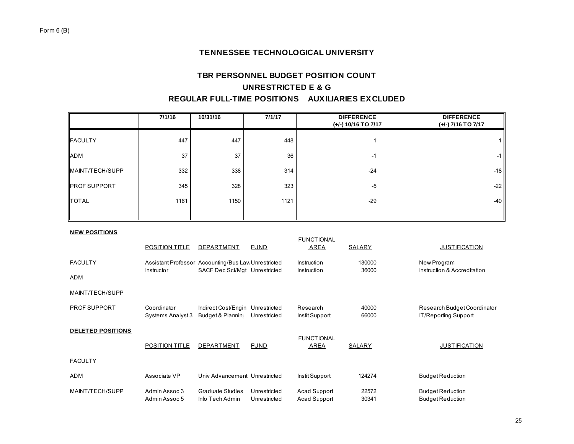# **TBR PERSONNEL BUDGET POSITION COUNT UNRESTRICTED E & G REGULAR FULL-TIME POSITIONS AUXILIARIES EXCLUDED**

|                              | 7/1/16                           | 10/31/16                                                                             | 7/1/17                       |                                     | <b>DIFFERENCE</b><br>(+/-) 10/16 TO 7/17 | <b>DIFFERENCE</b><br>(+/-) 7/16 TO 7/17                    |
|------------------------------|----------------------------------|--------------------------------------------------------------------------------------|------------------------------|-------------------------------------|------------------------------------------|------------------------------------------------------------|
| <b>FACULTY</b>               | 447                              | 447                                                                                  | 448                          |                                     | 1                                        | 1 <sup>1</sup>                                             |
| ADM                          | 37                               | 37                                                                                   | 36                           |                                     | $-1$                                     | $-1$                                                       |
| MAINT/TECH/SUPP              | 332                              | 338                                                                                  | 314                          |                                     | $-24$                                    | $-18$                                                      |
| <b>PROF SUPPORT</b>          | 345                              | 328                                                                                  | 323                          |                                     | $-5$                                     | $-22$                                                      |
| <b>TOTAL</b>                 | 1161                             | 1150                                                                                 | 1121                         |                                     | $-29$                                    | $-40$                                                      |
| <b>NEW POSITIONS</b>         | POSITION TITLE                   | <b>DEPARTMENT</b>                                                                    | <b>FUND</b>                  | <b>FUNCTIONAL</b><br><b>AREA</b>    | <b>SALARY</b>                            | <b>JUSTIFICATION</b>                                       |
| <b>FACULTY</b><br><b>ADM</b> | Instructor                       | Assistant Professor Accounting/Bus Law Unrestricted<br>SACF Dec Sci/Mgt Unrestricted |                              | Instruction<br>Instruction          | 130000<br>36000                          | New Program<br>Instruction & Accreditation                 |
| MAINT/TECH/SUPP              |                                  |                                                                                      |                              |                                     |                                          |                                                            |
| PROF SUPPORT                 | Coordinator<br>Systems Analyst 3 | Indirect Cost/Engin Unrestricted<br>Budget & Planning Unrestricted                   |                              | Research<br>Instit Support          | 40000<br>66000                           | Research Budget Coordinator<br><b>IT/Reporting Support</b> |
| <b>DELETED POSITIONS</b>     | POSITION TITLE                   | DEPARTMENT                                                                           | <b>FUND</b>                  | <b>FUNCTIONAL</b><br><b>AREA</b>    | SALARY                                   | <b>JUSTIFICATION</b>                                       |
| <b>FACULTY</b>               |                                  |                                                                                      |                              |                                     |                                          |                                                            |
| <b>ADM</b>                   | Associate VP                     | Univ Advancement Unrestricted                                                        |                              | Instit Support                      | 124274                                   | <b>Budget Reduction</b>                                    |
| MAINT/TECH/SUPP              | Admin Assoc 3<br>Admin Assoc 5   | <b>Graduate Studies</b><br>Info Tech Admin                                           | Unrestricted<br>Unrestricted | Acad Support<br><b>Acad Support</b> | 22572<br>30341                           | <b>Budget Reduction</b><br><b>Budget Reduction</b>         |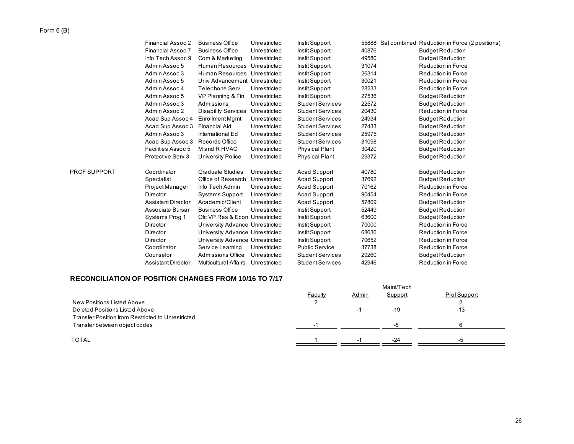# Form 6 (B)

|              | Financial Assoc 2         | <b>Business Office</b>          | Unrestricted | Instit Support          | 55888 | Sal combined Reduction in Force (2 positions) |
|--------------|---------------------------|---------------------------------|--------------|-------------------------|-------|-----------------------------------------------|
|              | <b>Financial Assoc 7</b>  | <b>Business Office</b>          | Unrestricted | Instit Support          | 40876 | <b>Budget Reduction</b>                       |
|              | Info Tech Assoc 9         | Com & Marketing                 | Unrestricted | Instit Support          | 49580 | <b>Budget Reduction</b>                       |
|              | Admin Assoc 5             | Human Resources Unrestricted    |              | Instit Support          | 31074 | <b>Reduction in Force</b>                     |
|              | Admin Assoc 3             | Human Resources Unrestricted    |              | Instit Support          | 26314 | <b>Reduction in Force</b>                     |
|              | Admin Assoc 5             | Univ Advancement Unrestricted   |              | Instit Support          | 30021 | <b>Reduction in Force</b>                     |
|              | Admin Assoc 4             | Telephone Serv                  | Unrestricted | Instit Support          | 28233 | <b>Reduction in Force</b>                     |
|              | Admin Assoc 5             | VP Planning & Fin               | Unrestricted | Instit Support          | 27536 | <b>Budget Reduction</b>                       |
|              | Admin Assoc 3             | Admissions                      | Unrestricted | <b>Student Services</b> | 22572 | <b>Budget Reduction</b>                       |
|              | Admin Assoc 2             | <b>Disability Services</b>      | Unrestricted | <b>Student Services</b> | 20430 | <b>Reduction in Force</b>                     |
|              | Acad Sup Assoc 4          | <b>Enrollment Mgmt</b>          | Unrestricted | <b>Student Services</b> | 24934 | <b>Budget Reduction</b>                       |
|              | Acad Sup Assoc 3          | <b>Financial Aid</b>            | Unrestricted | <b>Student Services</b> | 27433 | <b>Budget Reduction</b>                       |
|              | Admin Assoc 3             | International Ed                | Unrestricted | <b>Student Services</b> | 25975 | <b>Budget Reduction</b>                       |
|              | Acad Sup Assoc 3          | Records Office                  | Unrestricted | <b>Student Services</b> | 31098 | <b>Budget Reduction</b>                       |
|              | Facilities Assoc 5        | M and R HVAC                    | Unrestricted | <b>Physical Plant</b>   | 30420 | <b>Budget Reduction</b>                       |
|              | Protective Serv 3         | University Police               | Unrestricted | <b>Physical Plant</b>   | 29372 | <b>Budget Reduction</b>                       |
| PROF SUPPORT | Coordinator               | <b>Graduate Studies</b>         | Unrestricted | Acad Support            | 40780 | <b>Budget Reduction</b>                       |
|              | Specialist                | Office of Research              | Unrestricted | Acad Support            | 37692 | <b>Budget Reduction</b>                       |
|              | Project Manager           | Info Tech Admin                 | Unrestricted | Acad Support            | 70162 | <b>Reduction in Force</b>                     |
|              | Director                  | Systems Support                 | Unrestricted | Acad Support            | 90454 | <b>Reduction in Force</b>                     |
|              | <b>Assistant Director</b> | Academic/Client                 | Unrestricted | Acad Support            | 57809 | <b>Budget Reduction</b>                       |
|              | Associate Bursar          | <b>Business Office</b>          | Unrestricted | Instit Support          | 52449 | <b>Budget Reduction</b>                       |
|              | Systems Prog 1            | Ofc VP Res & Econ Unrestricted  |              | Instit Support          | 63600 | <b>Budget Reduction</b>                       |
|              | Director                  | University Advance Unrestricted |              | Instit Support          | 70000 | <b>Reduction in Force</b>                     |
|              | Director                  | University Advance Unrestricted |              | Instit Support          | 68636 | <b>Reduction in Force</b>                     |
|              | Director                  | University Advance Unrestricted |              | Instit Support          | 70652 | <b>Reduction in Force</b>                     |
|              | Coordinator               | Service Learning                | Unrestricted | <b>Public Service</b>   | 37738 | <b>Reduction in Force</b>                     |
|              | Counselor                 | <b>Admissions Office</b>        | Unrestricted | <b>Student Services</b> | 29260 | <b>Budget Reduction</b>                       |
|              | <b>Assistant Director</b> | <b>Multicultural Affairs</b>    | Unrestricted | <b>Student Services</b> | 42946 | <b>Reduction in Force</b>                     |

# **RECONCILIATION OF POSITION CHANGES FROM 10/16 TO 7/17**

|                                                   |         |          | Maint/Tech |              |
|---------------------------------------------------|---------|----------|------------|--------------|
|                                                   | Faculty | Admin    | Support    | Prof Support |
| New Positions Listed Above                        |         |          |            |              |
| Deleted Positions Listed Above                    |         | - 1      | $-19$      | $-13$        |
| Transfer Position from Restricted to Unrestricted |         |          |            |              |
| Transfer between object codes                     |         |          | $-5$       |              |
|                                                   |         |          |            |              |
| <b>TOTAL</b>                                      |         | $\sim$ 1 | $-24$      |              |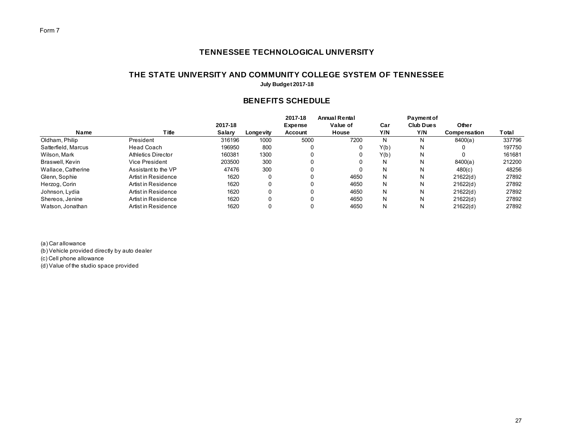# **THE STATE UNIVERSITY AND COMMUNITY COLLEGE SYSTEM OF TENNESSEE**

**July Budget 2017-18**

# **BENEFITS SCHEDULE**

|                     |                     |         |           | 2017-18        | <b>Annual Rental</b> |      | <b>Payment of</b> |              |        |
|---------------------|---------------------|---------|-----------|----------------|----------------------|------|-------------------|--------------|--------|
|                     |                     | 2017-18 |           | <b>Expense</b> | Value of             | Car  | <b>Club Dues</b>  | Other        |        |
| Name                | <b>Title</b>        | Salary  | Longevity | Account        | House                | Y/N  | Y/N               | Compensation | Total  |
| Oldham, Philip      | President           | 316196  | 1000      | 5000           | 7200                 | N    | N                 | 8400(a)      | 337796 |
| Satterfield, Marcus | Head Coach          | 196950  | 800       |                |                      | Y(b) | N                 |              | 197750 |
| Wilson, Mark        | Athletics Director  | 160381  | 1300      | 0              |                      | Y(b) | N                 |              | 161681 |
| Braswell, Kevin     | Vice President      | 203500  | 300       |                |                      | N    | N                 | 8400(a)      | 212200 |
| Wallace, Catherine  | Assistant to the VP | 47476   | 300       |                |                      | N    | N                 | 480(c)       | 48256  |
| Glenn, Sophie       | Artist in Residence | 1620    |           |                | 4650                 | N    | N                 | 21622(d)     | 27892  |
| Herzog, Corin       | Artist in Residence | 1620    |           |                | 4650                 | N.   | N                 | 21622(d)     | 27892  |
| Johnson, Lydia      | Artist in Residence | 1620    |           |                | 4650                 | N.   | N                 | 21622(d)     | 27892  |
| Shereos, Jenine     | Artist in Residence | 1620    |           |                | 4650                 | N    | N                 | 21622(d)     | 27892  |
| Watson, Jonathan    | Artist in Residence | 1620    |           |                | 4650                 | N    | N                 | 21622(d)     | 27892  |

(a) Car allowance (b) Vehicle provided directly by auto dealer (c) Cell phone allowance (d) Value of the studio space provided

27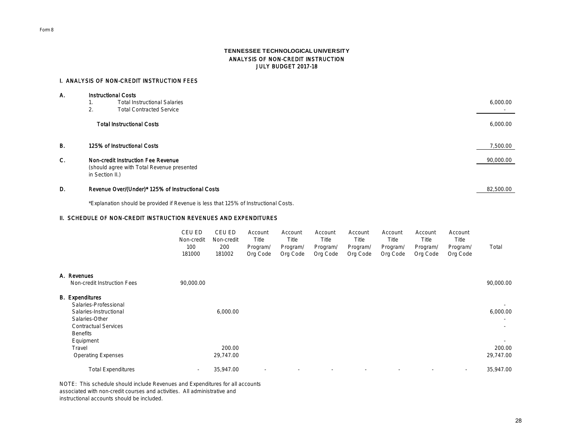#### **TENNESSEE TECHNOLOGICAL UNIVERSITY** ANALYSIS OF NON-CREDIT INSTRUCTION JULY BUDGET 2017-18

#### I. ANALYSIS OF NON-CREDIT INSTRUCTION FEES

| А.        | Instructional Costs |                                                                                  |           |  |  |  |  |  |
|-----------|---------------------|----------------------------------------------------------------------------------|-----------|--|--|--|--|--|
|           |                     | <b>Total Instructional Salaries</b>                                              | 6,000.00  |  |  |  |  |  |
|           | 2.                  | <b>Total Contracted Service</b>                                                  |           |  |  |  |  |  |
|           |                     | <b>Total Instructional Costs</b>                                                 | 6,000.00  |  |  |  |  |  |
| <b>B.</b> |                     | 125% of Instructional Costs                                                      | 7,500.00  |  |  |  |  |  |
| C.        | in Section II.)     | Non-credit Instruction Fee Revenue<br>(should agree with Total Revenue presented | 90,000.00 |  |  |  |  |  |
| D.        |                     | Revenue Over/(Under)* 125% of Instructional Costs                                | 82,500.00 |  |  |  |  |  |

\*Explanation should be provided if Revenue is less that 125% of Instructional Costs.

# II. SCHEDULE OF NON-CREDIT INSTRUCTION REVENUES AND EXPENDITURES

| CEU ED.    | CEU ED.    | Account  | Account           | Account  | Account  | Account           | Account  | Account  |       |
|------------|------------|----------|-------------------|----------|----------|-------------------|----------|----------|-------|
| Non-credit | Non-credit | Title    | Title             | Title    | Title    | Title             | Title    | Title    |       |
| 100        | 200        | Program/ | ' Program/        | Program/ | Program/ | Program/          | Program/ | Program/ | Total |
| 181000     | 181002     |          | Org Code Org Code | Org Code |          | Org Code Org Code | Org Code | Org Code |       |

| A. Revenues<br>Non-credit Instruction Fees                                                                                             | 90,000.00                |                     |                          |        |        |                          |                          |                          | 90,000.00                                       |
|----------------------------------------------------------------------------------------------------------------------------------------|--------------------------|---------------------|--------------------------|--------|--------|--------------------------|--------------------------|--------------------------|-------------------------------------------------|
| <b>B.</b> Expenditures<br>Salaries-Professional<br>Salaries-Instructional<br>Salaries-Other<br>Contractual Services<br><b>Benefits</b> |                          | 6,000.00            |                          |        |        |                          |                          |                          | $\sim$<br>6,000.00<br>$\sim$<br>$\sim$          |
| Equipment<br>Travel<br><b>Operating Expenses</b>                                                                                       |                          | 200.00<br>29,747.00 |                          |        |        |                          |                          |                          | $\overline{\phantom{a}}$<br>200.00<br>29,747.00 |
| <b>Total Expenditures</b>                                                                                                              | $\overline{\phantom{a}}$ | 35.947.00           | $\overline{\phantom{a}}$ | $\sim$ | $\sim$ | $\overline{\phantom{a}}$ | $\overline{\phantom{a}}$ | $\overline{\phantom{a}}$ | 35.947.00                                       |

NOTE: This schedule should include Revenues and Expenditures for all accounts associated with non-credit courses and activities. All administrative and instructional accounts should be included.

Form 8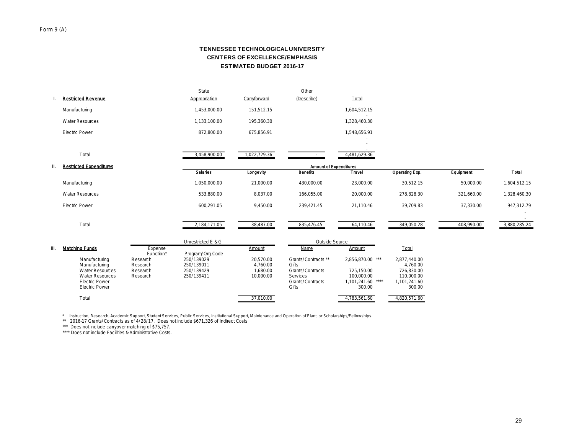# **CENTERS OF EXCELLENCE/EMPHASIS TENNESSEE TECHNOLOGICAL UNIVERSITY ESTIMATED BUDGET 2016-17**

|    | <b>Restricted Revenue</b>                                                                                                            |                                              | State<br>Appropriation                               | Carryforward                                   | Other<br>(Describe)                                                                                     | Total                                                                                 |                                                                                |            |              |
|----|--------------------------------------------------------------------------------------------------------------------------------------|----------------------------------------------|------------------------------------------------------|------------------------------------------------|---------------------------------------------------------------------------------------------------------|---------------------------------------------------------------------------------------|--------------------------------------------------------------------------------|------------|--------------|
|    | Manufacturing                                                                                                                        |                                              | 1,453,000.00                                         | 151,512.15                                     |                                                                                                         | 1,604,512.15                                                                          |                                                                                |            |              |
|    | <b>Water Resources</b>                                                                                                               |                                              | 1,133,100.00                                         | 195,360.30                                     |                                                                                                         | $\sim$<br>1,328,460.30                                                                |                                                                                |            |              |
|    | <b>Electric Power</b>                                                                                                                |                                              | 872,800.00                                           | 675,856.91                                     |                                                                                                         | 1,548,656.91                                                                          |                                                                                |            |              |
|    |                                                                                                                                      |                                              |                                                      |                                                |                                                                                                         |                                                                                       |                                                                                |            |              |
|    | Total                                                                                                                                |                                              | 3,458,900.00                                         | 1,022,729.36                                   |                                                                                                         | 4,481,629.36                                                                          |                                                                                |            |              |
| Ш. | <b>Restricted Expenditures</b>                                                                                                       |                                              |                                                      |                                                | Amount of Expenditures                                                                                  |                                                                                       |                                                                                |            |              |
|    |                                                                                                                                      |                                              | Salarles                                             | Longevity                                      | Benefits                                                                                                | Travel                                                                                | Operating Exp.                                                                 | Equipment  | <b>Total</b> |
|    | Manufacturing                                                                                                                        |                                              | 1,050,000.00                                         | 21,000.00                                      | 430,000.00                                                                                              | 23,000.00                                                                             | 30,512.15                                                                      | 50,000.00  | 1,604,512.15 |
|    | <b>Water Resources</b>                                                                                                               |                                              | 533,880.00                                           | 8,037.00                                       | 166,055.00                                                                                              | 20,000.00                                                                             | 278,828.30                                                                     | 321,660.00 | 1,328,460.30 |
|    | <b>Electric Power</b>                                                                                                                |                                              | 600,291.05                                           | 9,450.00                                       | 239,421.45                                                                                              | 21.110.46                                                                             | 39,709.83                                                                      | 37,330.00  | 947,312.79   |
|    | Total                                                                                                                                |                                              | 2,184,171.05                                         | 38,487.00                                      | 835,476.45                                                                                              | 64,110.46                                                                             | 349,050.28                                                                     | 408,990.00 | 3,880,285.24 |
|    |                                                                                                                                      |                                              | Unrestricted E & G                                   |                                                | Outside Source                                                                                          |                                                                                       |                                                                                |            |              |
| Ш. | Matching Funds                                                                                                                       | Expense<br>Function*                         | Program/ Org Code                                    | Amount                                         | Name                                                                                                    | Amount                                                                                | Total                                                                          |            |              |
|    | Manufacturing<br>Manufacturing<br><b>Water Resources</b><br><b>Water Resources</b><br><b>Electric Power</b><br><b>Electric Power</b> | Research<br>Research<br>Research<br>Research | 250/139029<br>250/139011<br>250/139429<br>250/139411 | 20,570.00<br>4,760.00<br>1.680.00<br>10,000.00 | Grants/Contracts **<br>Gifts<br><b>Grants/Contracts</b><br>Services<br><b>Grants/Contracts</b><br>Gifts | 2,856,870.00 ***<br>$\sim$<br>725.150.00<br>100.000.00<br>1,101,241.60 ****<br>300.00 | 2.877.440.00<br>4,760.00<br>726.830.00<br>110,000.00<br>1,101,241.60<br>300.00 |            |              |
|    | Total                                                                                                                                |                                              |                                                      | 37,010.00                                      |                                                                                                         | 4,783,561.60                                                                          | 4,820,571.60                                                                   |            |              |

\* Instruction, Research, Academic Support, Student Services, Public Services, Institutional Support, Maintenance and Operation of Plant, or Scholarships/Fellowships.<br>\*\* 2016-17 Grants/ Contracts as of 4/28/17. Does not inc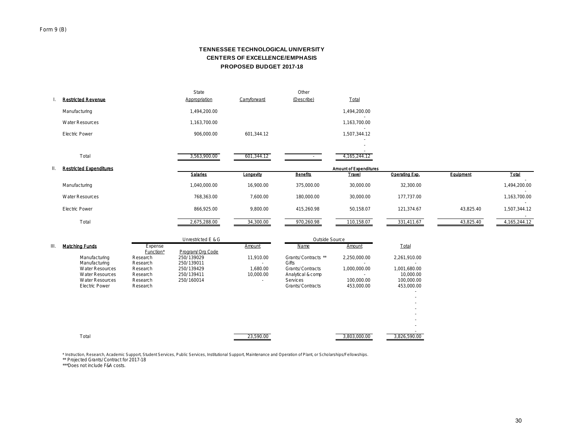# **CENTERS OF EXCELLENCE/EMPHASIS TENNESSEE TECHNOLOGICAL UNIVERSITY PROPOSED BUDGET 2017-18**

|                 | <b>Restricted Revenue</b>      | State<br>Appropriation | Carryforward | Other<br>(Describe) | Total                  |                |           |                        |
|-----------------|--------------------------------|------------------------|--------------|---------------------|------------------------|----------------|-----------|------------------------|
|                 | Manufacturing                  | 1,494,200.00           |              |                     | 1,494,200.00           |                |           |                        |
|                 | Water Resources                | 1,163,700.00           |              |                     | 1,163,700.00           |                |           |                        |
|                 | Electric Power                 | 906,000.00             | 601,344.12   |                     | 1,507,344.12           |                |           |                        |
|                 |                                |                        |              |                     | $\sim$                 |                |           |                        |
|                 | Total                          | 3,563,900.00           | 601,344.12   |                     | 4, 165, 244. 12        |                |           |                        |
| $\mathbf{II}$ . | <b>Restricted Expenditures</b> |                        |              |                     | Amount of Expenditures |                |           |                        |
|                 |                                | Salarles               | Longevity    | Benefits            | Travel                 | Operating Exp. | Equipment | Total                  |
|                 | Manufacturing                  | 1,040,000.00           | 16,900.00    | 375,000.00          | 30,000.00              | 32,300.00      |           | 1,494,200.00           |
|                 | Water Resources                | 768,363.00             | 7,600.00     | 180,000.00          | 30,000.00              | 177,737.00     |           | 1,163,700.00           |
|                 | <b>Electric Power</b>          | 866,925.00             | 9,800.00     | 415,260.98          | 50,158.07              | 121,374.67     | 43,825.40 | $\sim$<br>1,507,344.12 |
|                 | Total                          | 2,675,288.00           | 34,300.00    | 970,260.98          | 110,158.07             | 331,411.67     | 43,825.40 | 4, 165, 244. 12        |

|    |                                                  |                      | Unrestricted E & G       |                       |                                            | Outside Source           |                           |  |
|----|--------------------------------------------------|----------------------|--------------------------|-----------------------|--------------------------------------------|--------------------------|---------------------------|--|
| Ш. | Matching Funds                                   | Expense<br>Function* | Program/ Org Code        | Amount                | Name                                       | Amount                   | Total                     |  |
|    | Manufacturing<br>Manufacturing                   | Research<br>Research | 250/139029<br>250/139011 | 11.910.00             | Grants/Contracts **<br>Gifts               | 2.250.000.00             | 2,261,910.00              |  |
|    | <b>Water Resources</b><br><b>Water Resources</b> | Research<br>Research | 250/139429<br>250/139411 | 1.680.00<br>10.000.00 | Grants/Contracts<br>Analytical & comp      | 1.000.000.00             | 1,001,680.00<br>10.000.00 |  |
|    | <b>Water Resources</b><br>Electric Power         | Research<br>Research | 250/160014               |                       | <b>Services</b><br><b>Grants/Contracts</b> | 100,000,00<br>453,000.00 | 100,000,00<br>453,000.00  |  |
|    |                                                  |                      |                          |                       |                                            |                          |                           |  |
|    |                                                  |                      |                          |                       |                                            |                          | $\sim$                    |  |
|    |                                                  |                      |                          |                       |                                            |                          |                           |  |
|    | Total                                            |                      |                          | 23,590.00             |                                            | 3,803,000.00             | 3.826.590.00              |  |
|    |                                                  |                      |                          |                       |                                            |                          |                           |  |

\* Instruction, Research, Academic Support, Student Services, Public Services, Institutional Support, Maintenance and Operation of Plant, or Scholarships/Fellowships. \*\* Projected Grants/ Contract for 2017-18

\*\*\*Does not include F&A costs.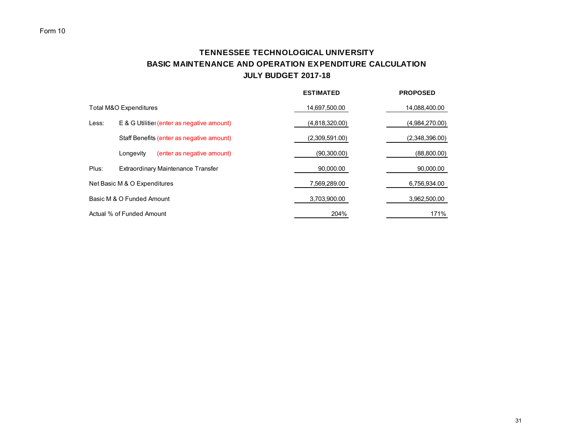# **TENNESSEE TECHNOLOGICAL UNIVERSITY BASIC MAINTENANCE AND OPERATION EXPENDITURE CALCULATION JULY BUDGET 2017-18**

|       |                                            | <b>ESTIMATED</b> | <b>PROPOSED</b> |
|-------|--------------------------------------------|------------------|-----------------|
|       | Total M&O Expenditures                     | 14,697,500.00    | 14,088,400.00   |
| Less: | E & G Utilitie: (enter as negative amount) | (4,818,320.00)   | (4,984,270.00)  |
|       | Staff Benefits (enter as negative amount)  | (2,309,591.00)   | (2,348,396.00)  |
|       | (enter as negative amount)<br>Longevity    | (90,300.00)      | (88,800.00)     |
| Plus: | Extraordinary Maintenance Transfer         | 90,000.00        | 90,000.00       |
|       | Net Basic M & O Expenditures               | 7,569,289.00     | 6,756,934.00    |
|       | Basic M & O Funded Amount                  | 3,703,900.00     | 3,962,500.00    |
|       | Actual % of Funded Amount                  | 204%             | 171%            |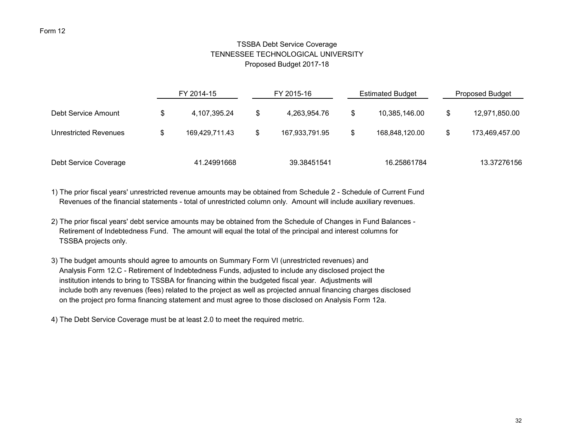# TSSBA Debt Service Coverage TENNESSEE TECHNOLOGICAL UNIVERSITY Proposed Budget 2017-18

|                       | FY 2014-15 |                |     | FY 2015-16     | <b>Estimated Budget</b> | <b>Proposed Budget</b> |                |  |
|-----------------------|------------|----------------|-----|----------------|-------------------------|------------------------|----------------|--|
| Debt Service Amount   | S          | 4,107,395.24   | \$. | 4.263.954.76   | \$<br>10,385,146.00     | S                      | 12,971,850.00  |  |
| Unrestricted Revenues | \$         | 169.429.711.43 | \$  | 167.933.791.95 | \$<br>168.848.120.00    |                        | 173,469,457.00 |  |
| Debt Service Coverage |            | 41.24991668    |     | 39.38451541    | 16.25861784             |                        | 13.37276156    |  |

1) The prior fiscal years' unrestricted revenue amounts may be obtained from Schedule 2 - Schedule of Current Fund Revenues of the financial statements - total of unrestricted column only. Amount will include auxiliary revenues.

- 2) The prior fiscal years' debt service amounts may be obtained from the Schedule of Changes in Fund Balances Retirement of Indebtedness Fund. The amount will equal the total of the principal and interest columns for TSSBA projects only.
- 3) The budget amounts should agree to amounts on Summary Form VI (unrestricted revenues) and Analysis Form 12.C - Retirement of Indebtedness Funds, adjusted to include any disclosed project the institution intends to bring to TSSBA for financing within the budgeted fiscal year. Adjustments will include both any revenues (fees) related to the project as well as projected annual financing charges disclosed on the project pro forma financing statement and must agree to those disclosed on Analysis Form 12a.

4) The Debt Service Coverage must be at least 2.0 to meet the required metric.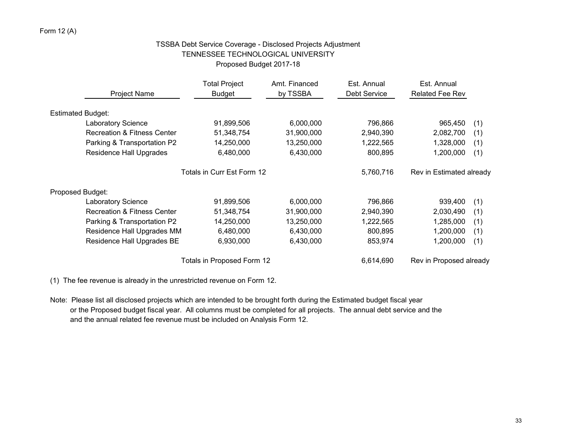# Form 12 (A)

# TSSBA Debt Service Coverage - Disclosed Projects Adjustment TENNESSEE TECHNOLOGICAL UNIVERSITY Proposed Budget 2017-18

|                                        | <b>Total Project</b>       | Amt. Financed | Est. Annual         | Est. Annual              |     |
|----------------------------------------|----------------------------|---------------|---------------------|--------------------------|-----|
| <b>Project Name</b>                    | <b>Budget</b>              | by TSSBA      | <b>Debt Service</b> | Related Fee Rev          |     |
| <b>Estimated Budget:</b>               |                            |               |                     |                          |     |
| <b>Laboratory Science</b>              | 91,899,506                 | 6,000,000     | 796,866             | 965,450                  | (1) |
| <b>Recreation &amp; Fitness Center</b> | 51,348,754                 | 31,900,000    | 2,940,390           | 2,082,700                | (1) |
| Parking & Transportation P2            | 14,250,000                 | 13,250,000    | 1,222,565           | 1,328,000                | (1) |
| <b>Residence Hall Upgrades</b>         | 6,480,000                  | 6,430,000     | 800,895             | 1,200,000                | (1) |
|                                        | Totals in Curr Est Form 12 |               | 5,760,716           | Rev in Estimated already |     |
| Proposed Budget:                       |                            |               |                     |                          |     |
| <b>Laboratory Science</b>              | 91,899,506                 | 6,000,000     | 796,866             | 939.400                  | (1) |
| <b>Recreation &amp; Fitness Center</b> | 51,348,754                 | 31,900,000    | 2,940,390           | 2,030,490                | (1) |
| Parking & Transportation P2            | 14,250,000                 | 13,250,000    | 1,222,565           | 1,285,000                | (1) |
| Residence Hall Upgrades MM             | 6,480,000                  | 6,430,000     | 800,895             | 1,200,000                | (1) |
| Residence Hall Upgrades BE             | 6,930,000                  | 6,430,000     | 853,974             | 1,200,000                | (1) |
|                                        | Totals in Proposed Form 12 |               | 6,614,690           | Rev in Proposed already  |     |

(1) The fee revenue is already in the unrestricted revenue on Form 12.

Note: Please list all disclosed projects which are intended to be brought forth during the Estimated budget fiscal year or the Proposed budget fiscal year. All columns must be completed for all projects. The annual debt service and the and the annual related fee revenue must be included on Analysis Form 12.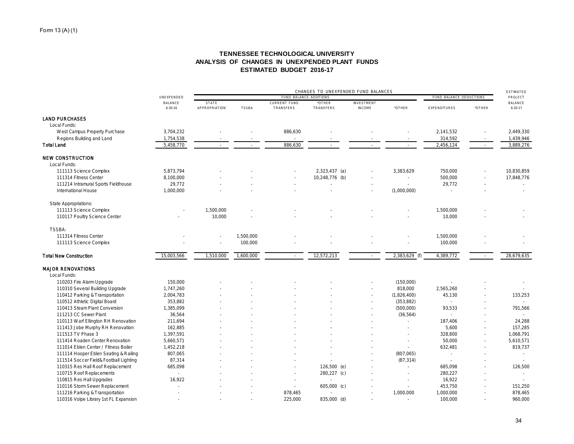# **TENNESSEE TECHNOLOGICAL UNIVERSITY ANALYSIS OF CHANGES IN UNEXPENDED PLANT FUNDS ESTIMATED BUDGET 2016-17**

|                                        | UNEXPENDED     |                      |              | FUND BALANCE DEDUCTIONS                |                 | <b>ESTIMATED</b><br>PROJECT |               |              |            |               |
|----------------------------------------|----------------|----------------------|--------------|----------------------------------------|-----------------|-----------------------------|---------------|--------------|------------|---------------|
|                                        | <b>BALANCE</b> | <b>STATE</b>         |              | FUND BALANCE ADDITIONS<br>CURRENT FUND | *OTHER          | <b>INVESTMENT</b>           |               |              |            | BALANCE       |
|                                        | $6 - 30 - 16$  | <b>APPROPRIATION</b> | <b>TSSBA</b> | TRANSFERS                              | TRANSFERS       | <b>INCOME</b>               | *OTHER        | EXPENDITURES | *OTHER     | $6 - 30 - 17$ |
| <b>LAND PURCHASES</b>                  |                |                      |              |                                        |                 |                             |               |              |            |               |
| Local Funds:                           |                |                      |              |                                        |                 |                             |               |              |            |               |
| West Campus Property Purchase          | 3,704,232      |                      |              | 886,630                                |                 |                             |               | 2,141,532    |            | 2,449,330     |
| Regions Building and Land              | 1,754,538      |                      |              |                                        |                 |                             |               | 314,592      |            | 1,439,946     |
| <b>Total Land</b>                      | 5,458,770      |                      |              | 886,630                                | $\sim$          |                             | $\sim$        | 2,456,124    | $\sim$     | 3,889,276     |
| <b>NEW CONSTRUCTION</b>                |                |                      |              |                                        |                 |                             |               |              |            |               |
| Local Funds:                           |                |                      |              |                                        |                 |                             |               |              |            |               |
| 111113 Science Complex                 | 5,873,794      |                      |              |                                        | $2,323,437$ (a) |                             | 3,383,629     | 750,000      |            | 10,830,859    |
| 111314 Fitness Center                  | 8,100,000      |                      |              |                                        | 10,248,776 (b)  |                             | $\sim$        | 500,000      |            | 17,848,776    |
| 111214 Intramural Sports Fieldhouse    | 29,772         |                      |              |                                        |                 |                             |               | 29,772       |            | $\sim$        |
| International House                    | 1,000,000      |                      |              |                                        |                 |                             | (1,000,000)   |              |            | $\sim$        |
| <b>State Appropriations:</b>           |                |                      |              |                                        |                 |                             |               |              |            |               |
| 111113 Science Complex                 |                | 1,500,000            |              |                                        |                 |                             |               | 1,500,000    |            |               |
| 110117 Poultry Science Center          |                | 10,000               |              |                                        |                 |                             |               | 10,000       |            |               |
|                                        |                |                      |              |                                        |                 |                             |               |              |            |               |
| TSSBA:                                 |                |                      |              |                                        |                 |                             |               |              |            |               |
| 111314 Fitness Center                  |                |                      | 1,500,000    |                                        |                 |                             |               | 1,500,000    |            |               |
| 111113 Science Complex                 |                |                      | 100,000      |                                        |                 |                             |               | 100,000      |            |               |
| <b>Total New Construction</b>          | 15,003,566     | 1,510,000            | 1,600,000    | $\sim$                                 | 12,572,213      | $\sim$                      | 2,383,629 (f) | 4,389,772    | $\sim$ $-$ | 28,679,635    |
| <b>MAJOR RENOVATIONS</b>               |                |                      |              |                                        |                 |                             |               |              |            |               |
| Local Funds:                           |                |                      |              |                                        |                 |                             |               |              |            |               |
| 110203 Fire Alarm Upgrade              | 150,000        |                      |              |                                        |                 |                             | (150,000)     |              |            |               |
| 110310 Several Building Upgrade        | 1,747,260      |                      |              |                                        |                 |                             | 818,000       | 2,565,260    |            |               |
| 110412 Parking & Transportation        | 2,004,783      |                      |              |                                        |                 |                             | (1,826,400)   | 45,130       |            | 133,253       |
| 110512 Athletic Digital Board          | 353,882        |                      |              |                                        |                 |                             | (353, 882)    |              |            |               |
| 110413 Steam Plant Conversion          | 1,385,099      |                      |              |                                        |                 |                             | (500,000)     | 93,533       |            | 791,566       |
| 111213 CC Sewer Plant                  | 36,564         |                      |              |                                        |                 |                             | (36, 564)     | ÷            |            |               |
| 110113 Warf Ellington RH Renovation    | 211,694        |                      |              |                                        |                 |                             | in 19         | 187,406      |            | 24,288        |
| 111413 Jobe Murphy RH Renovation       | 162,885        |                      |              |                                        |                 |                             |               | 5,600        |            | 157,285       |
| 111513 TV Phase 3                      | 1,397,591      |                      |              |                                        |                 |                             |               | 328,800      |            | 1,068,791     |
| 111414 Roaden Center Renovation        | 5,660,571      |                      |              |                                        |                 |                             |               | 50,000       |            | 5,610,571     |
| 111014 Eblen Center / Fitness Boiler   | 1,452,218      |                      |              |                                        |                 |                             | $\sim$        | 632,481      |            | 819,737       |
| 111114 Hooper Eblen Seating & Railing  | 807,065        |                      |              |                                        |                 |                             | (807, 065)    | ×.           |            | $\sim$        |
| 111514 Soccer Field& Football Lighting | 87,314         |                      |              |                                        |                 |                             | (87, 314)     |              |            |               |
| 110315 Res Hall Roof Replacement       | 685,098        |                      |              |                                        | 126,500 (e)     |                             | $\sim$        | 685,098      |            | 126,500       |
| 110715 Roof Replacements               | $\sim$         |                      |              |                                        | 280,227 (c)     |                             |               | 280,227      |            | i.            |
| 110815 Res Hall Upgrades               | 16,922         |                      |              |                                        |                 |                             |               | 16,922       |            |               |
| 110116 Storm Sewer Replacement         |                |                      |              |                                        | $605,000$ (c)   |                             |               | 453,750      |            | 151,250       |
| 111216 Parking & Transportation        |                |                      |              | 878,465                                |                 |                             | 1,000,000     | 1,000,000    |            | 878,465       |
| 110316 Volpe Library 1st FL Expansion  | $\sim$         |                      |              | 225,000                                | 835,000 (d)     | - 2                         |               | 100,000      |            | 960,000       |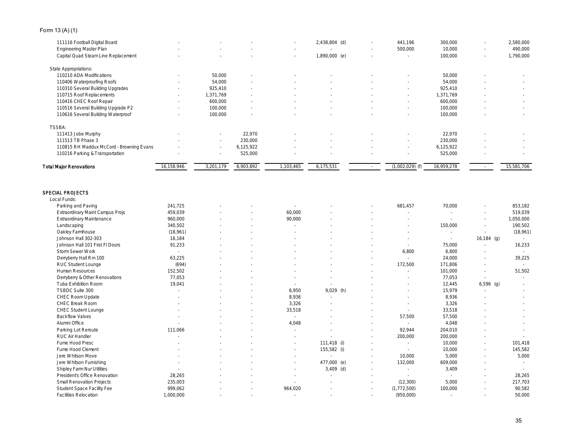# Form 13 (A) (1)

| Total Major Renovations                  | 16,158,946               | 3,201,179 | 6,903,892 | 1,103,465 | 6,175,531     |        | $(1,002,029)$ (f) | 16,959,278 |        | 15,581,706 |
|------------------------------------------|--------------------------|-----------|-----------|-----------|---------------|--------|-------------------|------------|--------|------------|
| 110216 Parking & Transportation          |                          | $\sim$    | 525,000   |           |               | $\sim$ | $\sim$            | 525,000    |        | $\sim$     |
| 110815 RH Maddux McCord - Browning Evans |                          | $\sim$    | 6,125,922 |           |               |        | $\sim$            | 6,125,922  |        | $\sim$     |
| 111513 TB Phase 3                        |                          | $\sim$    | 230,000   |           |               |        | $\sim$            | 230,000    |        | $\sim$     |
| 111413 Jobe Murphy                       |                          | $\sim$    | 22,970    |           |               |        | $\sim$            | 22,970     |        |            |
| <b>TSSBA:</b>                            |                          |           |           |           |               |        |                   |            |        |            |
| 110616 Several Building Waterproof       |                          | 100,000   | $\sim$    |           |               |        | $\sim$            | 100,000    |        | $\sim$     |
| 110516 Several Building Upgrade P2       |                          | 100,000   | $\sim$    |           | $\sim$        |        | $\sim$            | 100,000    |        | $\sim$     |
| 110416 CHEC Roof Repair                  | $\sim$                   | 600,000   | ٠         |           |               |        | $\sim$            | 600,000    |        | $\sim$     |
| 110715 Roof Replacements                 | $\sim$                   | 1,371,769 | $\sim$    |           | $\sim$        |        | $\sim$            | 1,371,769  |        | $\sim$     |
| 110310 Several Building Upgrades         | $\overline{\phantom{a}}$ | 925,410   | $\sim$    |           | $\sim$        | $\sim$ | $\sim$            | 925,410    |        | $\sim$     |
| 110406 Waterproofing Roofs               | $\sim$                   | 54,000    | $\sim$    |           | $\sim$        |        | $\sim$            | 54,000     |        | $\sim$     |
| 110210 ADA Modifications                 | $\sim$                   | 50,000    | $\sim$    |           |               |        |                   | 50,000     |        | $\sim$     |
| State Appropriations:                    |                          |           |           |           |               |        |                   |            |        |            |
| Capital Quad Steam Line Replacement      |                          |           |           | $\sim$    | 1,890,000 (e) | $\sim$ | $\sim$            | 100,000    | $\sim$ | 1,790,000  |
| Engineering Master Plan                  | $\sim$                   | ٠         |           | $\sim$    |               | $\sim$ | 500,000           | 10,000     | $\sim$ | 490,000    |
| 111116 Football Digital Board            |                          |           |           | $\sim$    | 2,438,804 (d) | $\sim$ | 441,196           | 300,000    | $\sim$ | 2,580,000  |
|                                          |                          |           |           |           |               |        |                   |            |        |            |

#### SPECIAL PROJECTS Local Funds:

| -ucai i unus.                    |           |  |         |             |        |               |         |                          |           |
|----------------------------------|-----------|--|---------|-------------|--------|---------------|---------|--------------------------|-----------|
| Parking and Paving               | 241,725   |  |         |             |        | 681,457       | 70,000  |                          | 853,182   |
| Extraordinary Maint Campus Projs | 459,039   |  | 60,000  |             |        |               |         |                          | 519,039   |
| Extraordinary Maintenance        | 960,000   |  | 90,000  |             |        |               |         |                          | 1,050,000 |
| Landscaping                      | 340,502   |  |         |             |        |               | 150,000 |                          | 190,502   |
| Oakley Farmhouse                 | (18,961)  |  |         |             |        |               |         |                          | (18,961)  |
| Johnson Hall 302-303             | 16,184    |  |         |             |        |               | $\sim$  | $16,184$ (g)             |           |
| Johnson Hall 101 First FI Doors  | 91,233    |  |         |             |        |               | 75,000  |                          | 16,233    |
| Storm Sewer Work                 |           |  |         |             |        | 6,800         | 6,800   |                          |           |
| Denyberry Hall Rm 100            | 63,225    |  |         |             |        | ÷.            | 24,000  | $\overline{\phantom{a}}$ | 39,225    |
| RUC Student Lounge               | (694)     |  |         |             |        | 172,500       | 171,806 |                          |           |
| Human Resources                  | 152,502   |  |         |             |        |               | 101,000 |                          | 51,502    |
| Derryberry & Other Renovations   | 77,053    |  |         |             |        |               | 77,053  |                          |           |
| Tuba Exhibition Room             | 19,041    |  | $\sim$  |             |        |               | 12,445  | $6,596$ (g)              |           |
| TSBDC Suite 300                  |           |  | 6,950   | $9,029$ (h) |        |               | 15,979  |                          |           |
| CHEC Room Update                 |           |  | 8,936   |             |        |               | 8,936   |                          |           |
| CHEC Break Room                  |           |  | 3,326   |             |        |               | 3,326   |                          |           |
| CHEC Student Lounge              |           |  | 33,518  |             |        |               | 33,518  |                          |           |
| <b>Backflow Valves</b>           |           |  | $\sim$  |             |        | 57,500        | 57,500  |                          |           |
| Alumni Office                    |           |  | 4,048   |             |        |               | 4,048   |                          |           |
| Parking Lot Reroute              | 111.066   |  |         |             |        | 92,944        | 204,010 |                          |           |
| RUC Air Handler                  |           |  |         |             |        | 200,000       | 200,000 |                          |           |
| Fume Hood Presc                  |           |  |         | 111,418 (i) |        |               | 10,000  | $\overline{\phantom{a}}$ | 101,418   |
| Fume Hood Clement                |           |  |         | 155,582 (i) |        |               | 10,000  |                          | 145,582   |
| Jere Whitson Move                |           |  |         |             |        | 10,000        | 5,000   |                          | 5,000     |
| Jere Whitson Furnishing          |           |  |         | 477,000 (e) |        | 132,000       | 609,000 |                          |           |
| Shipley Farm Nur Utilities       |           |  |         | $3,409$ (d) |        |               | 3,409   |                          |           |
| President's Office Renovation    | 28,265    |  |         |             |        | i.            | ÷.      |                          | 28,265    |
| Small Renovation Projects        | 235,003   |  |         |             |        | (12, 300)     | 5,000   |                          | 217,703   |
| Student Space Facility Fee       | 999,062   |  | 964,020 |             | $\sim$ | (1, 772, 500) | 100,000 |                          | 90,582    |
| Facilities Relocation            | 1,000,000 |  |         |             |        | (950,000)     |         |                          | 50,000    |
|                                  |           |  |         |             |        |               |         |                          |           |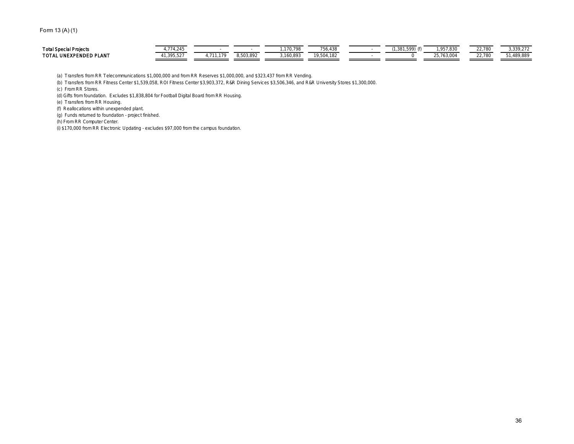# Form 13 (A) (1)

| <b>Total Spe</b><br>and Dealership<br>リロしい | $\sim$ $\sim$                   |   | <b>COLOR</b>     | 100 |  | $\sim$ $\sim$<br>ے بی      | 330.272        |
|--------------------------------------------|---------------------------------|---|------------------|-----|--|----------------------------|----------------|
| _AN <sup>-</sup><br>TOTAL<br>-INE<br>. .   | -<br>$' \cup \, \cdot \, \cdot$ | . | <b>OR O</b><br>. | .   |  | $\sim$ $\sim$<br>, uu , uu | un oor<br>,00' |

(a) Transfers from RR Telecommunications \$1,000,000 and from RR Reserves \$1,000,000, and \$323,437 from RR Vending.

(b) Transfers from RR Fitness Center \$1,539,058, ROI Fitness Center \$3,903,372, R&R Dining Services \$3,506,346, and R&R University Stores \$1,300,000.

(c) From RR Stores.

(d) Gifts from foundation. Excludes \$1,838,804 for Football Digital Board from RR Housing.

(e) Transfers from RR Housing.

(f) Reallocations within unexpended plant.

(g) Funds returned to foundation - project finished.

(h) From RR Computer Center.

(i) \$170,000 from RR Electronic Updating - excludes \$97,000 from the campus foundation.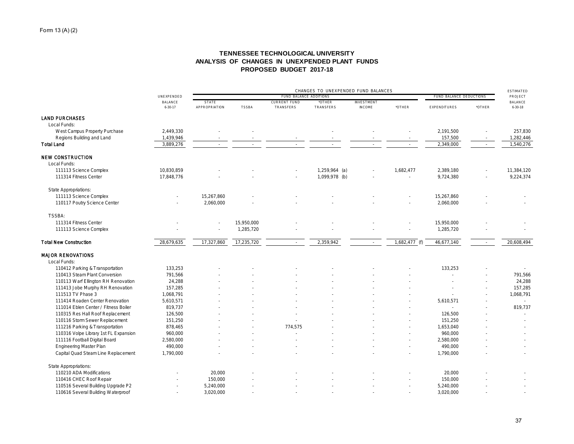# **TENNESSEE TECHNOLOGICAL UNIVERSITY ANALYSIS OF CHANGES IN UNEXPENDED PLANT FUNDS PROPOSED BUDGET 2017-18**

|                                       |                                 | CHANGES TO UNEXPENDED FUND BALANCES |              |                                  |                     |                                    |                 |                         |        |                          |
|---------------------------------------|---------------------------------|-------------------------------------|--------------|----------------------------------|---------------------|------------------------------------|-----------------|-------------------------|--------|--------------------------|
|                                       | UNEXPENDED                      |                                     |              | FUND BALANCE ADDITIONS           |                     |                                    |                 | FUND BALANCE DEDUCTIONS |        | PROJECT                  |
|                                       | <b>BALANCE</b><br>$6 - 30 - 17$ | STATE<br>APPROPRIATION              | <b>TSSBA</b> | <b>CURRENT FUND</b><br>TRANSFERS | *OTHER<br>TRANSFERS | <b>INVESTMENT</b><br><b>INCOME</b> | *OTHER          | EXPENDITURES            | *OTHER | BALANCE<br>$6 - 30 - 18$ |
| <b>LAND PURCHASES</b>                 |                                 |                                     |              |                                  |                     |                                    |                 |                         |        |                          |
| Local Funds:                          |                                 |                                     |              |                                  |                     |                                    |                 |                         |        |                          |
| West Campus Property Purchase         | 2,449,330                       |                                     |              |                                  |                     |                                    |                 | 2,191,500               |        | 257,830                  |
| Regions Building and Land             | 1,439,946                       |                                     |              |                                  |                     |                                    |                 | 157,500                 |        | 1,282,446                |
| <b>Total Land</b>                     | 3,889,276                       |                                     |              |                                  |                     |                                    |                 | 2,349,000               |        | 1,540,276                |
| <b>NEW CONSTRUCTION</b>               |                                 |                                     |              |                                  |                     |                                    |                 |                         |        |                          |
| Local Funds:                          |                                 |                                     |              |                                  |                     |                                    |                 |                         |        |                          |
| 111113 Science Complex                | 10,830,859                      |                                     |              |                                  | 1,259,964 (a)       |                                    | 1,682,477       | 2,389,180               |        | 11,384,120               |
| 111314 Fitness Center                 | 17,848,776                      |                                     |              |                                  | 1,099,978 (b)       |                                    | ×.              | 9,724,380               |        | 9,224,374                |
| State Appropriations:                 |                                 |                                     |              |                                  |                     |                                    |                 |                         |        |                          |
| 111113 Science Complex                |                                 | 15.267.860                          |              |                                  |                     |                                    |                 | 15,267,860              |        |                          |
| 110117 Poutry Science Center          |                                 | 2,060,000                           |              |                                  |                     |                                    |                 | 2,060,000               |        |                          |
| <b>TSSBA:</b>                         |                                 |                                     |              |                                  |                     |                                    |                 |                         |        |                          |
| 111314 Fitness Center                 |                                 |                                     | 15,950,000   |                                  |                     |                                    |                 | 15,950,000              |        |                          |
| 111113 Science Complex                |                                 |                                     | 1,285,720    |                                  |                     |                                    |                 | 1,285,720               |        |                          |
| <b>Total New Construction</b>         | 28,679,635                      | 17,327,860                          | 17,235,720   | $\sim$                           | 2,359,942           |                                    | $1,682,477$ (f) | 46,677,140              | $\sim$ | 20,608,494               |
| <b>MAJOR RENOVATIONS</b>              |                                 |                                     |              |                                  |                     |                                    |                 |                         |        |                          |
| Local Funds:                          |                                 |                                     |              |                                  |                     |                                    |                 |                         |        |                          |
| 110412 Parking & Transportation       | 133,253                         |                                     |              |                                  |                     |                                    |                 | 133,253                 |        |                          |
| 110413 Steam Plant Conversion         | 791,566                         |                                     |              |                                  |                     |                                    |                 |                         |        | 791,566                  |
| 110113 Warf Ellington RH Renovation   | 24,288                          |                                     |              |                                  |                     |                                    |                 |                         |        | 24,288                   |
| 111413 Jobe Murphy RH Renovation      | 157,285                         |                                     |              |                                  |                     |                                    |                 |                         |        | 157,285                  |
| 111513 TV Phase 3                     | 1,068,791                       |                                     |              |                                  |                     |                                    |                 |                         |        | 1,068,791                |
| 111414 Roaden Center Renovation       | 5,610,571                       |                                     |              |                                  |                     |                                    |                 | 5,610,571               |        |                          |
| 111014 Eblen Center / Fitness Boiler  | 819,737                         |                                     |              |                                  |                     |                                    |                 |                         |        | 819,737                  |
| 110315 Res Hall Roof Replacement      | 126,500                         |                                     |              |                                  |                     |                                    |                 | 126,500                 |        |                          |
| 110116 Storm Sewer Replacement        | 151,250                         |                                     |              |                                  |                     |                                    |                 | 151,250                 |        |                          |
| 111216 Parking & Transportation       | 878,465                         |                                     |              | 774,575                          |                     |                                    |                 | 1,653,040               |        |                          |
| 110316 Volpe Library 1st FL Expansion | 960,000                         |                                     |              |                                  |                     |                                    |                 | 960,000                 |        |                          |
| 111116 Football Digital Board         | 2,580,000                       |                                     |              |                                  |                     |                                    |                 | 2,580,000               |        |                          |
| <b>Engineering Master Plan</b>        | 490,000                         |                                     |              |                                  |                     |                                    |                 | 490,000                 |        |                          |
| Capital Quad Steam Line Replacement   | 1,790,000                       |                                     |              |                                  |                     |                                    |                 | 1,790,000               |        |                          |
| State Appropriations:                 |                                 |                                     |              |                                  |                     |                                    |                 |                         |        |                          |
| 110210 ADA Modifications              |                                 | 20,000                              |              |                                  |                     |                                    |                 | 20,000                  |        |                          |
| 110416 CHEC Roof Repair               |                                 | 150,000                             |              |                                  |                     |                                    |                 | 150,000                 |        |                          |
| 110516 Several Building Upgrade P2    |                                 | 5,240,000                           |              |                                  |                     |                                    |                 | 5,240,000               |        |                          |
| 110616 Several Building Waterproof    |                                 | 3,020,000                           |              |                                  |                     |                                    |                 | 3,020,000               |        |                          |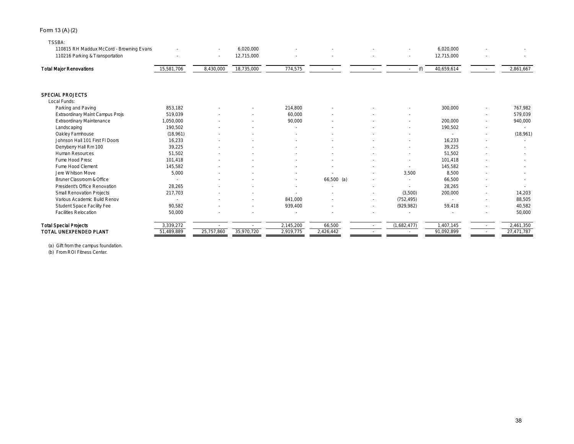# Form 13 (A) (2)

#### TSSBA:

| T JJDA.<br>110815 RH Maddux McCord - Browning Evans |                      | ×.         | 6,020,000  |           |              |        |               | 6,020,000        |        |            |
|-----------------------------------------------------|----------------------|------------|------------|-----------|--------------|--------|---------------|------------------|--------|------------|
| 110216 Parking & Transportation                     |                      |            | 12,715,000 |           |              |        |               | 12,715,000       |        |            |
| <b>Total Major Renovations</b>                      | 15,581,706           | 8,430,000  | 18,735,000 | 774,575   |              |        | (f)<br>$\sim$ | 40,659,614       |        | 2,861,667  |
| SPECIAL PROJECTS                                    |                      |            |            |           |              |        |               |                  |        |            |
| Local Funds:                                        |                      |            |            |           |              |        |               |                  |        |            |
| Parking and Paving                                  | 853.182              |            |            | 214,800   |              |        |               | 300,000          |        | 767.982    |
| Extraordinary Maint Campus Projs                    | 519,039              |            |            | 60,000    |              |        |               |                  | $\sim$ | 579,039    |
| <b>Extraordinary Maintenance</b>                    | 1,050,000<br>190,502 |            |            | 90,000    |              |        |               | 200,000          | $\sim$ | 940,000    |
| Landscaping<br>Oakley Farmhouse                     |                      |            |            |           |              |        |               | 190,502          | $\sim$ |            |
| Johnson Hall 101 First FI Doors                     | (18,961)             |            |            |           |              |        |               | 16,233           | $\sim$ | (18,961)   |
|                                                     | 16,233               |            |            |           |              |        |               |                  |        |            |
| Derryberry Hall Rm 100<br>Human Resources           | 39,225               |            |            |           |              |        |               | 39,225<br>51,502 |        |            |
| Fume Hood Presc                                     | 51,502<br>101.418    |            |            |           |              |        |               | 101.418          |        |            |
|                                                     |                      |            |            |           |              |        |               |                  |        |            |
| Fume Hood Clement                                   | 145,582              |            |            |           |              |        |               | 145,582          |        |            |
| Jere Whitson Move                                   | 5,000                |            |            |           |              |        | 3.500         | 8,500            |        |            |
| Bruner Classroom & Office                           |                      |            |            |           | $66,500$ (a) |        |               | 66,500           |        |            |
| President's Office Renovation                       | 28,265               |            |            |           |              |        |               | 28,265           |        |            |
| Small Renovation Projects                           | 217,703              |            |            |           |              | $\sim$ | (3,500)       | 200,000          | $\sim$ | 14,203     |
| Various Academic Build Renov                        |                      |            |            | 841.000   |              | $\sim$ | (752, 495)    |                  | $\sim$ | 88,505     |
| Student Space Facility Fee                          | 90,582               |            |            | 939,400   |              | ٠      | (929, 982)    | 59,418           |        | 40,582     |
| <b>Facilities Relocation</b>                        | 50,000               |            |            |           |              |        |               |                  |        | 50,000     |
| <b>Total Special Projects</b>                       | 3,339,272            |            |            | 2,145,200 | 66,500       |        | (1,682,477)   | ,407,145         | $\sim$ | 2,461,350  |
| TOTAL UNEXPENDED PLANT                              | 51,489,889           | 25.757.860 | 35,970,720 | 2,919,775 | 2,426,442    |        |               | 91,092,899       |        | 27,471,787 |

(a) Gift from the campus foundation.

(b) From ROI Fitness Center.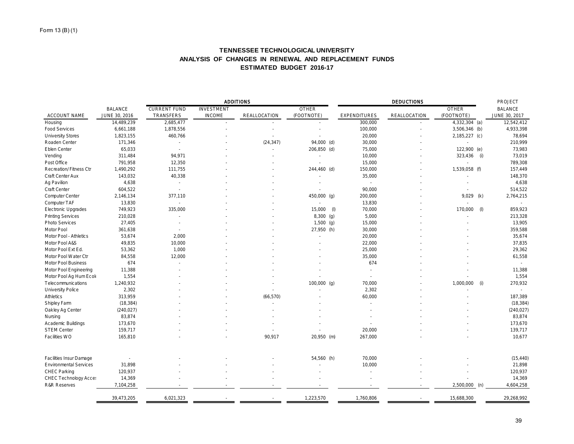# **TENNESSEE TECHNOLOGICAL UNIVERSITY ANALYSIS OF CHANGES IN RENEWAL AND REPLACEMENT FUNDS ESTIMATED BUDGET 2016-17**

|                                                          |                |                     |                   | <b>ADDITIONS</b>    |              |                  | <b>PROJECT</b>      |                  |                     |
|----------------------------------------------------------|----------------|---------------------|-------------------|---------------------|--------------|------------------|---------------------|------------------|---------------------|
|                                                          | <b>BALANCE</b> | <b>CURRENT FUND</b> | <b>INVESTMENT</b> |                     | <b>OTHER</b> |                  |                     | <b>OTHER</b>     | <b>BALANCE</b>      |
| ACCOUNT NAME                                             | JUNE 30, 2016  | TRANSFERS           | <b>INCOME</b>     | <b>REALLOCATION</b> | (FOOTNOTE)   | EXPENDITURES     | <b>REALLOCATION</b> | (FOOTNOTE)       | JUNE 30, 2017       |
| Housing                                                  | 14,489,239     | 2,685,477           |                   |                     |              | 300,000          |                     | $4,332,304$ (a)  | 12,542,412          |
| Food Services                                            | 6,661,188      | 1,878,556           |                   |                     |              | 100,000          |                     | 3,506,346 (b)    | 4,933,398           |
| <b>University Stores</b>                                 | 1,823,155      | 460,766             |                   |                     |              | 20,000           |                     | 2,185,227 (c)    | 78,694              |
| Roaden Center                                            | 171,346        | ×                   |                   | (24, 347)           | 94,000 (d)   | 30,000           |                     | ×.               | 210,999             |
| Eblen Center                                             | 65,033         | ä,                  |                   |                     | 206,850 (d)  | 75,000           |                     | 122,900 (e)      | 73,983              |
| Vending                                                  | 311,484        | 94,971              |                   |                     |              | 10,000           |                     | 323,436<br>(i)   | 73,019              |
| Post Office                                              | 791,958        | 12,350              |                   |                     |              | 15,000           |                     |                  | 789,308             |
| Recreation/Fitness Ctr                                   | 1,490,292      | 111,755             |                   |                     | 244,460 (d)  | 150,000          |                     | 1,539,058 (f)    | 157,449             |
| Craft Center Aux                                         | 143,032        | 40,338              |                   |                     |              | 35,000           |                     |                  | 148,370             |
| Ag Pavilion                                              | 4,638          | $\sim$              |                   |                     |              | $\sim$           |                     |                  | 4,638               |
| Craft Center                                             | 604,522        | $\sim$              |                   |                     |              | 90,000           |                     |                  | 514,522             |
| Computer Center                                          | 2,146,134      | 377,110             |                   |                     | 450,000 (g)  | 200,000          |                     | 9,029<br>(k)     | 2,764,215           |
| Computer TAF                                             | 13,830         | k.                  |                   |                     |              | 13,830           |                     |                  |                     |
| Electronic Upgrades                                      | 749,923        | 335,000             |                   |                     | 15,000       | 70,000<br>$($ l) |                     | 170,000<br>(1)   | 859,923             |
| <b>Printing Services</b>                                 | 210,028        |                     |                   |                     | $8,300$ (g)  | 5,000            |                     |                  | 213,328             |
| Photo Services                                           | 27,405         |                     |                   |                     | $1,500$ (g)  | 15,000           |                     |                  | 13,905              |
| Motor Pool                                               | 361,638        | ×.                  |                   |                     | 27,950 (h)   | 30,000           |                     |                  | 359,588             |
| Motor Pool - Athletics                                   | 53,674         | 2,000               |                   |                     |              | 20,000           |                     |                  | 35,674              |
| Motor Pool A&S                                           | 49,835         | 10,000              |                   |                     |              | 22,000           |                     |                  | 37,835              |
| Motor Pool Ext Ed.                                       | 53,362         | 1,000               |                   |                     |              | 25,000           |                     |                  | 29,362              |
| Motor Pool Water Ctr                                     | 84,558         | 12,000              |                   |                     |              | 35,000           |                     |                  | 61,558              |
| Motor Pool Business                                      | 674            | ä,                  |                   |                     |              | 674              |                     |                  | $\sim$              |
| Motor Pool Engineering                                   | 11,388         |                     |                   |                     |              |                  |                     |                  | 11,388              |
| Motor Pool Ag Hum Ecok                                   | 1,554          |                     |                   |                     |              |                  |                     |                  | 1,554               |
| Telecommunications                                       | 1,240,932      |                     |                   |                     | 100,000 (g)  | 70,000           |                     | 1,000,000<br>(i) | 270,932             |
| University Police                                        | 2,302          |                     |                   |                     |              | 2,302            |                     |                  |                     |
| Athletics                                                | 313,959        |                     |                   | (66, 570)           |              | 60,000           |                     |                  | 187,389             |
| Shipley Farm                                             | (18, 384)      |                     |                   |                     |              | $\sim$           |                     |                  | (18, 384)           |
| Oakley Ag Center                                         | (240, 027)     |                     |                   |                     |              |                  |                     |                  | (240, 027)          |
| Nursing                                                  | 83,874         |                     |                   |                     |              |                  |                     |                  | 83,874              |
| Academic Buildings                                       | 173,670        |                     |                   |                     |              |                  |                     |                  | 173,670             |
| <b>STEM Center</b>                                       | 159,717        |                     |                   |                     |              | 20,000           |                     |                  | 139,717             |
| Facilities WO                                            | 165,810        |                     |                   | 90,917              | 20,950 (m)   | 267,000          |                     |                  | 10,677              |
|                                                          |                |                     |                   |                     |              |                  |                     |                  |                     |
| Facilities Insur Damage<br><b>Environmental Services</b> | ×.<br>31,898   |                     |                   |                     | 54,560 (h)   | 70,000<br>10,000 |                     |                  | (15, 440)<br>21,898 |
| CHEC Parking                                             |                |                     |                   |                     |              | ×.               |                     |                  |                     |
|                                                          | 120,937        |                     |                   |                     |              |                  |                     |                  | 120,937<br>14,369   |
| CHEC Technology Acces                                    | 14,369         |                     |                   |                     |              |                  |                     |                  | 4,604,258           |
| <b>R&amp;R Reserves</b>                                  | 7,104,258      |                     |                   |                     |              |                  |                     | $2,500,000$ (n)  |                     |
|                                                          | 39,473,205     | 6,021,323           |                   |                     | 1,223,570    | 1,760,806        |                     | 15,688,300       | 29,268,992          |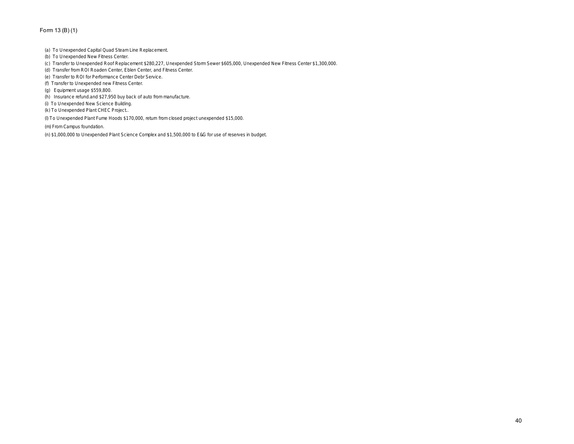# Form 13 (B) (1)

- (a) To Unexpended Capital Quad Steam Line Replacement.
- (b) To Unexpended New Fitness Center.
- (c) Transfer to Unexpended Roof Replacement \$280,227, Unexpended Storm Sewer \$605,000, Unexpended New Fitness Center \$1,300,000.
- (d) Transfer from ROI Roaden Center, Eblen Center, and Fitness Center.
- (e) Transfer to ROI for Performance Center Debr Service.
- (f) Transfer to Unexpended new Fitness Center.
- (g) Equipment usage \$559,800.
- (h) Insurance refund.and \$27,950 buy back of auto from manufacture.
- (i) To Unexpended New Science Building.
- (k) To Unexpended Plant CHEC Project..
- (l) To Unexpended Plant Fume Hoods \$170,000, return from closed project unexpended \$15,000.

(m) From Campus foundation.

(n) \$1,000,000 to Unexpended Plant Science Complex and \$1,500,000 to E&G for use of reserves in budget.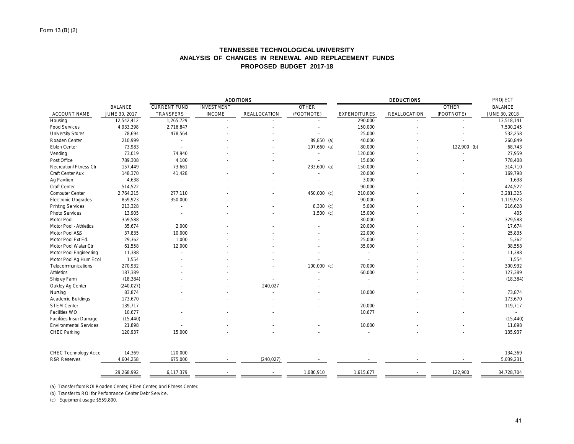# **TENNESSEE TECHNOLOGICAL UNIVERSITY ANALYSIS OF CHANGES IN RENEWAL AND REPLACEMENT FUNDS PROPOSED BUDGET 2017-18**

|                               | <b>ADDITIONS</b> |                     |                   |                     |               | PROJECT             |                     |              |                |
|-------------------------------|------------------|---------------------|-------------------|---------------------|---------------|---------------------|---------------------|--------------|----------------|
|                               | <b>BALANCE</b>   | <b>CURRENT FUND</b> | <b>INVESTMENT</b> |                     | <b>OTHER</b>  |                     |                     | <b>OTHER</b> | <b>BALANCE</b> |
| ACCOUNT NAME                  | JUNE 30, 2017    | TRANSFERS           | <b>INCOME</b>     | <b>REALLOCATION</b> | (FOOTNOTE)    | <b>EXPENDITURES</b> | <b>REALLOCATION</b> | (FOOTNOTE)   | JUNE 30, 2018  |
| Housing                       | 12,542,412       | 1,265,729           |                   |                     |               | 290,000             |                     |              | 13,518,141     |
| <b>Food Services</b>          | 4,933,398        | 2,716,847           |                   |                     |               | 150,000             |                     |              | 7,500,245      |
| <b>University Stores</b>      | 78,694           | 478,564             |                   |                     |               | 25,000              |                     |              | 532,258        |
| Roaden Center                 | 210,999          |                     |                   |                     | 89,850 (a)    | 40,000              |                     |              | 260,849        |
| Eblen Center                  | 73,983           | in 1919.            |                   |                     | 197,660 (a)   | 80,000              |                     | 122,900 (b)  | 68,743         |
| Vending                       | 73,019           | 74,940              |                   |                     |               | 120,000             |                     |              | 27,959         |
| Post Office                   | 789,308          | 4,100               |                   |                     |               | 15,000              |                     |              | 778,408        |
| Recreation/Fitness Ctr        | 157,449          | 73,661              |                   |                     | 233,600 (a)   | 150,000             |                     |              | 314,710        |
| Craft Center Aux              | 148,370          | 41,428              |                   |                     |               | 20,000              |                     |              | 169,798        |
| Ag Pavilion                   | 4,638            |                     |                   |                     |               | 3,000               |                     |              | 1,638          |
| <b>Craft Center</b>           | 514,522          |                     |                   |                     |               | 90,000              |                     |              | 424,522        |
| Computer Center               | 2,764,215        | 277,110             |                   |                     | 450,000 (c)   | 210,000             |                     |              | 3,281,325      |
| Electronic Upgrades           | 859,923          | 350,000             |                   |                     |               | 90,000              |                     |              | 1,119,923      |
| <b>Printing Services</b>      | 213,328          |                     |                   |                     | $8,300$ (c)   | 5,000               |                     |              | 216,628        |
| Photo Services                | 13,905           |                     |                   |                     | $1,500$ (c)   | 15,000              |                     |              | 405            |
| Motor Pool                    | 359,588          |                     |                   |                     |               | 30,000              |                     |              | 329,588        |
| Motor Pool - Athletics        | 35,674           | 2,000               |                   |                     |               | 20,000              |                     |              | 17,674         |
| Motor Pool A&S                | 37,835           | 10,000              |                   |                     |               | 22,000              |                     |              | 25,835         |
| Motor Pool Ext Ed.            | 29,362           | 1,000               |                   |                     |               | 25,000              |                     |              | 5,362          |
| Motor Pool Water Ctr          | 61,558           | 12,000              |                   |                     |               | 35,000              |                     |              | 38,558         |
| Motor Pool Engineering        | 11,388           |                     |                   |                     |               | $\sim$              |                     |              | 11,388         |
| Motor Pool Ag Hum Ecol        | 1,554            |                     |                   |                     |               | ×.                  |                     |              | 1,554          |
| Telecommunications            | 270,932          |                     |                   |                     | $100,000$ (c) | 70,000              |                     |              | 300,932        |
| Athletics                     | 187,389          |                     |                   |                     |               | 60,000              |                     |              | 127,389        |
| Shipley Farm                  | (18, 384)        |                     |                   |                     |               | ×                   |                     |              | (18, 384)      |
| Oakley Ag Center              | (240, 027)       |                     |                   | 240,027             |               | $\sim$              |                     |              | $\sim$         |
| Nursing                       | 83,874           |                     |                   |                     |               | 10,000              |                     |              | 73,874         |
| Academic Buildings            | 173,670          |                     |                   |                     |               | $\sim$              |                     |              | 173,670        |
| <b>STEM Center</b>            | 139,717          |                     |                   |                     |               | 20,000              |                     |              | 119,717        |
| Facilities WO                 | 10,677           |                     |                   |                     |               | 10,677              |                     |              |                |
| Facilities Insur Damage       | (15, 440)        |                     |                   |                     |               | $\sim$              |                     |              | (15, 440)      |
| <b>Environmental Services</b> | 21,898           |                     |                   |                     |               | 10,000              |                     |              | 11,898         |
| CHEC Parking                  | 120,937          | 15,000              |                   |                     |               | ÷.                  |                     |              | 135,937        |
| CHEC Technology Acce          | 14,369           | 120,000             |                   |                     |               |                     |                     |              | 134,369        |
| <b>R&amp;R Reserves</b>       | 4,604,258        | 675,000             |                   | (240, 027)          |               |                     |                     |              | 5,039,231      |
|                               | 29,268,992       | 6,117,379           |                   |                     | 1,080,910     | 1,615,677           |                     | 122,900      | 34,728,704     |

(a) Transfer from ROI Roaden Center, Eblen Center, and Fitness Center.

(b) Transfer to ROI for Performance Center Debr Service.

(c) Equipment usage \$559,800.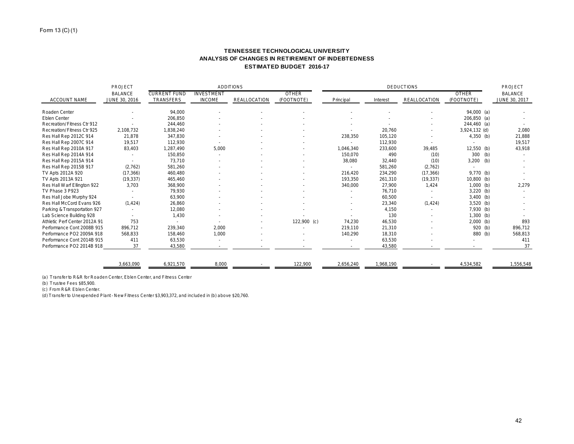# **TENNESSEE TECHNOLOGICAL UNIVERSITY ANALYSIS OF CHANGES IN RETIREMENT OF INDEBTEDNESS ESTIMATED BUDGET 2016-17**

|                               | PROJECT        | <b>ADDITIONS</b>    |                   |              |              | <b>DEDUCTIONS</b> |           |                     |               | PROJECT        |
|-------------------------------|----------------|---------------------|-------------------|--------------|--------------|-------------------|-----------|---------------------|---------------|----------------|
|                               | <b>BALANCE</b> | <b>CURRENT FUND</b> | <b>INVESTMENT</b> |              | <b>OTHER</b> |                   |           |                     | <b>OTHER</b>  | <b>BALANCE</b> |
| <b>ACCOUNT NAME</b>           | JUNE 30, 2016  | <b>TRANSFERS</b>    | <b>INCOME</b>     | REALLOCATION | (FOOTNOTE)   | Principal         | Interest  | <b>REALLOCATION</b> | (FOOTNOTE)    | JUNE 30, 2017  |
| Roaden Center                 |                | 94,000              |                   |              |              |                   |           |                     | $94,000$ (a)  |                |
| Eblen Center                  |                | 206.850             |                   |              |              |                   |           |                     | $206,850$ (a) |                |
| Recreation/Fitness Ctr 912    |                | 244,460             |                   |              |              |                   |           |                     | $244,460$ (a) |                |
| Recreation/Fitness Ctr 925    | 2,108,732      | 1,838,240           |                   |              |              |                   | 20,760    |                     | 3,924,132 (d) | 2,080          |
| Res Hall Rep 2012C 914        | 21,878         | 347,830             |                   |              |              | 238,350           | 105,120   |                     | $4,350$ (b)   | 21,888         |
| Res Hall Rep 2007C 914        | 19,517         | 112.930             |                   |              |              | $\sim$            | 112.930   | $\sim$              |               | 19,517         |
| Res Hall Rep 2010A 917        | 83,403         | 1,287,490           | 5,000             |              |              | 1,046,340         | 233,600   | 39,485              | $12,550$ (b)  | 43,918         |
| Res Hall Rep 2014A 914        |                | 150,850             |                   |              |              | 150,070           | 490       | (10)                | $300$ (b)     |                |
| Res Hall Rep 2015A 914        |                | 73.710              |                   |              |              | 38,080            | 32.440    | (10)                | $3,200$ (b)   |                |
| Res Hall Rep 2015B 917        | (2,762)        | 581,260             |                   |              |              |                   | 581,260   | (2, 762)            |               |                |
| TV Apts 2012A 920             | (17, 366)      | 460,480             |                   |              |              | 216,420           | 234,290   | (17, 366)           | 9,770 (b)     |                |
| TV Apts 2013A 921             | (19, 337)      | 465,460             |                   |              |              | 193,350           | 261,310   | (19, 337)           | $10,800$ (b)  |                |
| Res Hall Warf Ellington 922   | 3,703          | 368,900             |                   |              |              | 340,000           | 27,900    | 1,424               | $1,000$ (b)   | 2,279          |
| TV Phase 3 P923               |                | 79.930              |                   |              |              |                   | 76,710    |                     | $3,220$ (b)   |                |
| Res Hall Jobe Murphy 924      |                | 63,900              |                   |              |              |                   | 60,500    |                     | $3,400$ (b)   |                |
| Res Hall McCord Evans 926     | (1, 424)       | 26,860              |                   |              |              |                   | 23,340    | (1, 424)            | $3,520$ (b)   |                |
| Parking & Transportation 927  |                | 12,080              |                   |              |              |                   | 4,150     |                     | $7,930$ (b)   |                |
| Lab Science Building 928      |                | 1.430               |                   |              |              |                   | 130       |                     | $1,300$ (b)   |                |
| Athletic Perf Center 2012A 91 | 753            |                     |                   |              | 122,900 (c)  | 74,230            | 46.530    |                     | $2,000$ (b)   | 893            |
| Performance Cont 2008B 915    | 896.712        | 239.340             | 2.000             |              |              | 219,110           | 21,310    |                     | 920 (b)       | 896,712        |
| Performance PO2 2009A 918     | 568,833        | 158,460             | 1,000             |              |              | 140,290           | 18,310    |                     | 880 (b)       | 568,813        |
| Performance Cont 2014B 915    | 411            | 63,530              |                   |              |              |                   | 63,530    |                     |               | 411            |
| Performance PO2 2014B 918     | 37             | 43,580              |                   |              |              |                   | 43,580    |                     |               | 37             |
|                               | 3,663,090      | 6,921,570           | 8,000             |              | 122,900      | 2,656,240         | 1,968,190 |                     | 4,534,582     | 1,556,548      |

(a) Transfer to R&R for Roaden Center, Eblen Center, and Fitness Center

(b) Trustee Fees \$85,900.

(c) From R&R Eblen Center.

(d) Transfer to Unexpended Plant - New Fitness Center \$3,903,372, and included in (b) above \$20,760.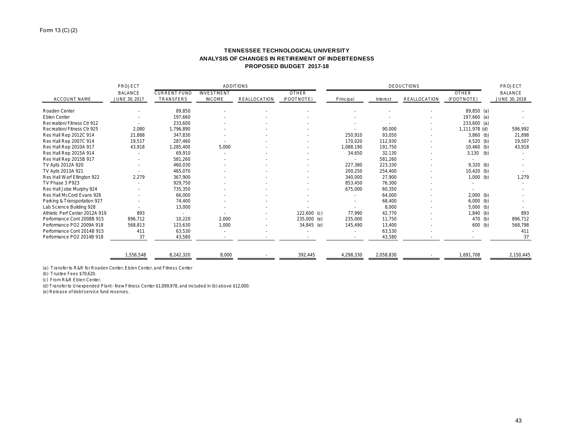# **TENNESSEE TECHNOLOGICAL UNIVERSITY ANALYSIS OF CHANGES IN RETIREMENT OF INDEBTEDNESS PROPOSED BUDGET 2017-18**

|                                | PROJECT        | <b>ADDITIONS</b>    |                   |              |               | <b>DEDUCTIONS</b> |           |                     |               | PROJECT        |
|--------------------------------|----------------|---------------------|-------------------|--------------|---------------|-------------------|-----------|---------------------|---------------|----------------|
|                                | <b>BALANCE</b> | <b>CURRENT FUND</b> | <b>INVESTMENT</b> |              | <b>OTHER</b>  |                   |           |                     | <b>OTHER</b>  | <b>BALANCE</b> |
| <b>ACCOUNT NAME</b>            | JUNE 30, 2017  | TRANSFERS           | <b>INCOME</b>     | REALLOCATION | (FOOTNOTE)    | Principal         | Interest  | <b>REALLOCATION</b> | (FOOTNOTE)    | JUNE 30, 2018  |
| Roaden Center                  |                | 89,850              |                   |              |               |                   |           |                     | 89,850 (a)    |                |
| Eblen Center                   |                | 197,660             |                   |              |               |                   |           |                     | 197,660 (a)   |                |
| Recreation/Fitness Ctr 912     |                | 233,600             |                   |              |               |                   |           |                     | $233,600$ (a) |                |
| Recreation/Fitness Ctr 925     | 2,080          | 1,796,890           |                   |              |               |                   | 90,000    |                     | 1,111,978 (d) | 596,992        |
| Res Hall Rep 2012C 914         | 21,888         | 347,830             |                   |              |               | 250.910           | 93.050    |                     | $3,860$ (b)   | 21.898         |
| Res Hall Rep 2007C 914         | 19,517         | 287,460             |                   |              |               | 170.020           | 112,930   |                     | $4,520$ (b)   | 19,507         |
| Res Hall Rep 2010A 917         | 43,918         | 1,285,400           | 5,000             |              |               | 1,088,190         | 191.750   |                     | $10,460$ (b)  | 43,918         |
| Res Hall Rep 2015A 914         |                | 69,910              |                   |              |               | 34,650            | 32,130    |                     | $3,130$ (b)   |                |
| Res Hall Rep 2015B 917         |                | 581,260             |                   |              |               |                   | 581,260   |                     |               |                |
| TV Apts 2012A 920              |                | 460,030             |                   |              |               | 227,380           | 223,330   |                     | $9,320$ (b)   |                |
| TV Apts 2013A 921              |                | 465,070             |                   |              |               | 200,250           | 254,400   |                     | $10,420$ (b)  |                |
| Res Hall Warf Ellington 922    | 2,279          | 367,900             |                   |              |               | 340,000           | 27,900    |                     | $1,000$ (b)   | 1,279          |
| TV Phase 3 P923                |                | 929,750             |                   |              |               | 853,450           | 76,300    |                     |               |                |
| Res Hall Jobe Murphy 924       |                | 735,350             |                   |              |               | 675,000           | 60,350    |                     |               |                |
| Res Hall McCord Evans 926      |                | 66,000              |                   |              |               |                   | 64,000    |                     | $2,000$ (b)   |                |
| Parking & Transportation 927   |                | 74,400              |                   |              |               |                   | 68,400    |                     | $6,000$ (b)   |                |
| Lab Science Building 928       |                | 13,000              |                   |              |               |                   | 8,000     |                     | $5,000$ (b)   |                |
| Athletic Perf Center 2012A 919 | 893            |                     |                   |              | $122,600$ (c) | 77.990            | 42.770    |                     | $1,840$ (b)   | 893            |
| Performance Cont 2008B 915     | 896,712        | 10,220              | 2,000             |              | 235,000 (e)   | 235,000           | 11,750    |                     | 470 (b)       | 896,712        |
| Performance PO2 2009A 918      | 568,813        | 123,630             | 1,000             |              | 34,845 (e)    | 145,490           | 13.400    |                     | 600 (b)       | 568,798        |
| Performance Cont 2014B 915     | 411            | 63,530              |                   |              |               |                   | 63,530    |                     |               | 411            |
| Performance PO2 2014B 918      | 37             | 43,580              |                   |              |               |                   | 43,580    |                     |               | 37             |
|                                | 1,556,548      | 8,242,320           | 8,000             |              | 392,445       | 4,298,330         | 2,058,830 |                     | 1,691,708     | 2,150,445      |

(a) Transfer to R&R for Roaden Center, Eblen Center, and Fitness Center

(b) Trustee Fees \$70,620.

(c) From R&R Eblen Center.

(d) Transfer to Unexpended Plant - New Fitness Center \$1,099,978, and included in (b) above \$12,000.

(e) Release of debt service fund reserves.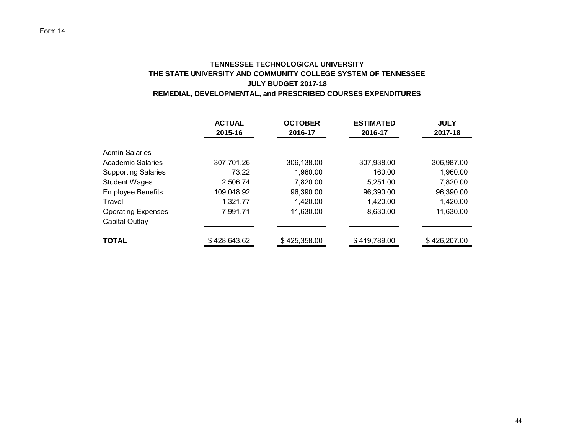# **TENNESSEE TECHNOLOGICAL UNIVERSITY THE STATE UNIVERSITY AND COMMUNITY COLLEGE SYSTEM OF TENNESSEE JULY BUDGET 2017-18 REMEDIAL, DEVELOPMENTAL, and PRESCRIBED COURSES EXPENDITURES**

|                            | <b>ACTUAL</b><br>2015-16 | <b>OCTOBER</b><br>2016-17 | <b>ESTIMATED</b><br>2016-17 | <b>JULY</b><br>2017-18 |
|----------------------------|--------------------------|---------------------------|-----------------------------|------------------------|
|                            |                          |                           |                             |                        |
| <b>Admin Salaries</b>      |                          |                           |                             |                        |
| <b>Academic Salaries</b>   | 307,701.26               | 306,138.00                | 307,938.00                  | 306,987.00             |
| <b>Supporting Salaries</b> | 73.22                    | 1,960.00                  | 160.00                      | 1,960.00               |
| <b>Student Wages</b>       | 2,506.74                 | 7,820.00                  | 5,251.00                    | 7,820.00               |
| <b>Employee Benefits</b>   | 109,048.92               | 96,390.00                 | 96,390.00                   | 96,390.00              |
| Travel                     | 1,321.77                 | 1,420.00                  | 1,420.00                    | 1,420.00               |
| <b>Operating Expenses</b>  | 7,991.71                 | 11,630.00                 | 8,630.00                    | 11,630.00              |
| Capital Outlay             |                          |                           |                             |                        |
| <b>TOTAL</b>               | \$428,643.62             | \$425,358.00              | \$419,789.00                | \$426,207.00           |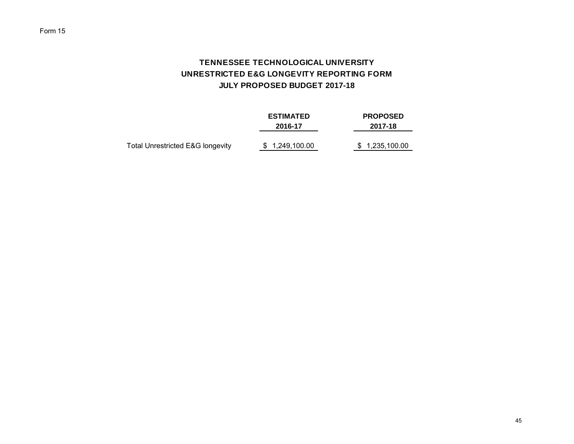# **TENNESSEE TECHNOLOGICAL UNIVERSITY UNRESTRICTED E&G LONGEVITY REPORTING FORM JULY PROPOSED BUDGET 2017-18**

|                                             | <b>ESTIMATED</b><br>2016-17 | <b>PROPOSED</b><br>2017-18 |
|---------------------------------------------|-----------------------------|----------------------------|
| <b>Total Unrestricted E&amp;G longevity</b> | \$ 1,249,100.00             | \$1,235,100.00             |